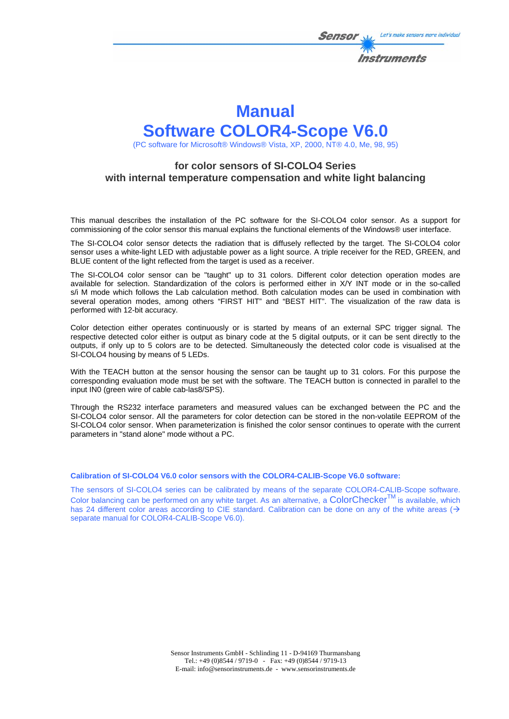

Let's make sensors more individual

**Instruments** 

Sensol

(PC software for Microsoft® Windows® Vista, XP, 2000, NT® 4.0, Me, 98, 95)

### **for color sensors of SI-COLO4 Series with internal temperature compensation and white light balancing**

This manual describes the installation of the PC software for the SI-COLO4 color sensor. As a support for commissioning of the color sensor this manual explains the functional elements of the Windows® user interface.

The SI-COLO4 color sensor detects the radiation that is diffusely reflected by the target. The SI-COLO4 color sensor uses a white-light LED with adjustable power as a light source. A triple receiver for the RED, GREEN, and BLUE content of the light reflected from the target is used as a receiver.

The SI-COLO4 color sensor can be "taught" up to 31 colors. Different color detection operation modes are available for selection. Standardization of the colors is performed either in X/Y INT mode or in the so-called s/i M mode which follows the Lab calculation method. Both calculation modes can be used in combination with several operation modes, among others "FIRST HIT" and "BEST HIT". The visualization of the raw data is performed with 12-bit accuracy.

Color detection either operates continuously or is started by means of an external SPC trigger signal. The respective detected color either is output as binary code at the 5 digital outputs, or it can be sent directly to the outputs, if only up to 5 colors are to be detected. Simultaneously the detected color code is visualised at the SI-COLO4 housing by means of 5 LEDs.

With the TEACH button at the sensor housing the sensor can be taught up to 31 colors. For this purpose the corresponding evaluation mode must be set with the software. The TEACH button is connected in parallel to the input IN0 (green wire of cable cab-las8/SPS).

Through the RS232 interface parameters and measured values can be exchanged between the PC and the SI-COLO4 color sensor. All the parameters for color detection can be stored in the non-volatile EEPROM of the SI-COLO4 color sensor. When parameterization is finished the color sensor continues to operate with the current parameters in "stand alone" mode without a PC.

#### **Calibration of SI-COLO4 V6.0 color sensors with the COLOR4-CALIB-Scope V6.0 software:**

The sensors of SI-COLO4 series can be calibrated by means of the separate COLOR4-CALIB-Scope software. Color balancing can be performed on any white target. As an alternative, a ColorChecker<sup>TM</sup> is available, which has 24 different color areas according to CIE standard. Calibration can be done on any of the white areas ( $\rightarrow$ separate manual for COLOR4-CALIB-Scope V6.0).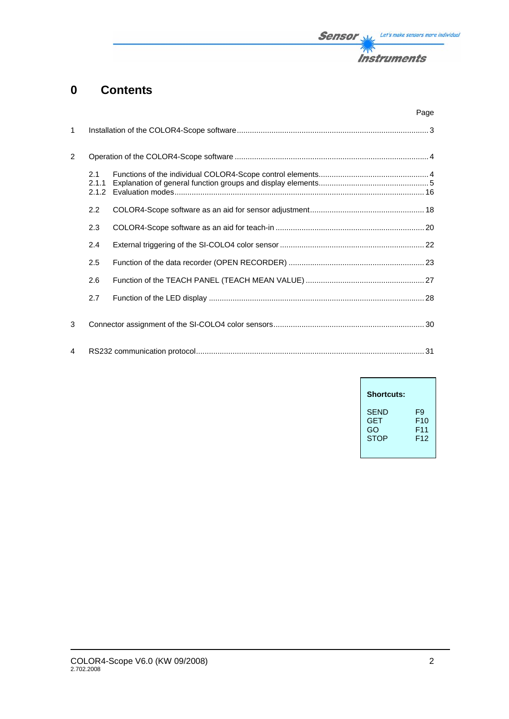# **0 Contents**

|                |                       | Page |
|----------------|-----------------------|------|
| $\mathbf{1}$   |                       |      |
| $\overline{2}$ |                       |      |
|                | 2.1<br>2.1.1<br>2.1.2 |      |
|                | 2.2                   |      |
|                | 2.3                   |      |
|                | 2.4                   |      |
|                | 2.5                   |      |
|                | 2.6                   |      |
|                | 2.7                   |      |
| 3              |                       |      |
| 4              |                       |      |

| <b>Shortcuts:</b> |                 |
|-------------------|-----------------|
| <b>SEND</b>       | F9              |
| <b>GET</b>        | F <sub>10</sub> |
| GO                | F <sub>11</sub> |
| <b>STOP</b>       | F <sub>12</sub> |

**Sensor** W/<sub>2</sub> Let's make sensors more individual

**Instruments** 

不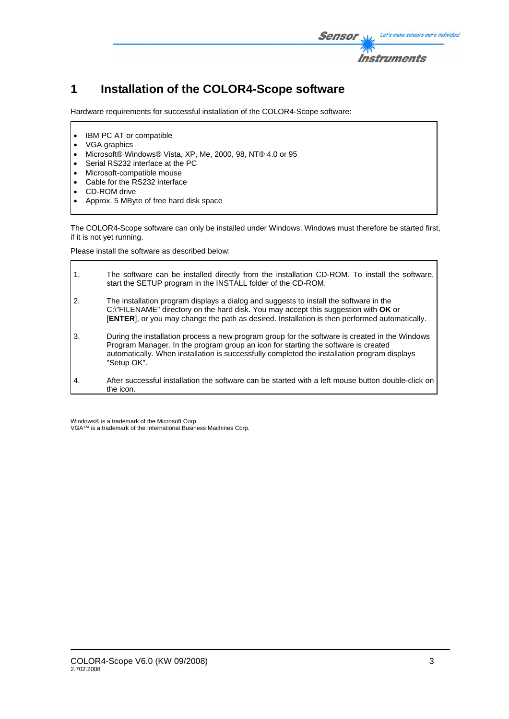

# **1 Installation of the COLOR4-Scope software**

Hardware requirements for successful installation of the COLOR4-Scope software:

- IBM PC AT or compatible
- VGA graphics
- Microsoft® Windows® Vista, XP, Me, 2000, 98, NT® 4.0 or 95
- Serial RS232 interface at the PC
- Microsoft-compatible mouse
- Cable for the RS232 interface
- CD-ROM drive
- Approx. 5 MByte of free hard disk space

The COLOR4-Scope software can only be installed under Windows. Windows must therefore be started first, if it is not yet running.

Please install the software as described below:

| 1. | The software can be installed directly from the installation CD-ROM. To install the software,<br>start the SETUP program in the INSTALL folder of the CD-ROM.                                                                                                                                       |
|----|-----------------------------------------------------------------------------------------------------------------------------------------------------------------------------------------------------------------------------------------------------------------------------------------------------|
| 2. | The installation program displays a dialog and suggests to install the software in the<br>C:\"FILENAME" directory on the hard disk. You may accept this suggestion with OK or<br>[ENTER], or you may change the path as desired. Installation is then performed automatically.                      |
| 3. | During the installation process a new program group for the software is created in the Windows<br>Program Manager. In the program group an icon for starting the software is created<br>automatically. When installation is successfully completed the installation program displays<br>"Setup OK". |
| 4. | After successful installation the software can be started with a left mouse button double-click on<br>the icon.                                                                                                                                                                                     |

Windows® is a trademark of the Microsoft Corp.

VGA™ is a trademark of the International Business Machines Corp.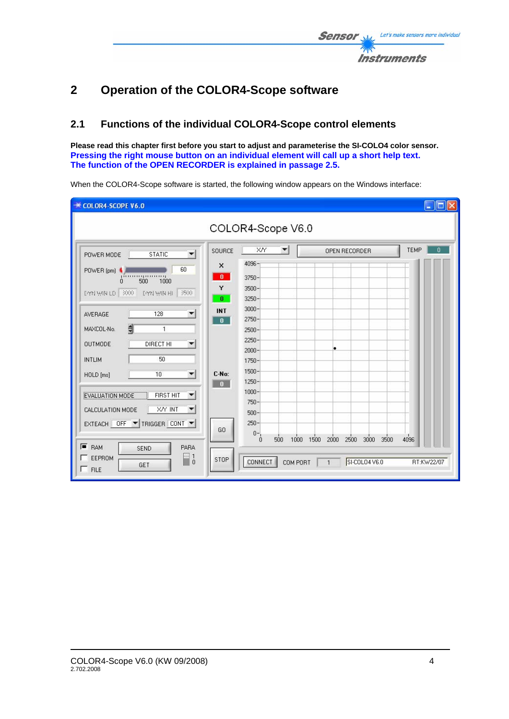# **2 Operation of the COLOR4-Scope software**

# **2.1 Functions of the individual COLOR4-Scope control elements**

**Please read this chapter first before you start to adjust and parameterise the SI-COLO4 color sensor. Pressing the right mouse button on an individual element will call up a short help text. The function of the OPEN RECORDER is explained in passage 2.5.** 

| COLOR4-SCOPE V6.0                                                                                                                                        |                                                     |                                      | ∥⊡∥×<br>$\overline{\phantom{a}}$ |
|----------------------------------------------------------------------------------------------------------------------------------------------------------|-----------------------------------------------------|--------------------------------------|----------------------------------|
|                                                                                                                                                          | COLOR4-Scope V6.0                                   |                                      |                                  |
| SOURCE<br><b>STATIC</b><br>$\blacktriangledown$<br>POWER MODE                                                                                            | XN<br>▼                                             | OPEN RECORDER                        | <b>TEMP</b><br>0                 |
| $\times$<br>60<br>POWER (pm)<br>$\mathbf{0}$<br>pinningummi<br>500<br>1000<br>$\Omega$<br>Y<br>EYN WIN LO SHO<br><b>EYN WIN HI</b><br>透的<br>$\mathbf{0}$ | 4096-<br>3750-<br>$3500 -$<br>$3250 -$              |                                      |                                  |
| <b>INT</b><br>128<br>$\blacktriangledown$<br>AVERAGE<br>$\mathbf{0}$<br>$\frac{4}{3}$<br>MAXCOL-No.<br>1                                                 | $3000 -$<br>$2750 -$<br>$2500 -$                    |                                      |                                  |
| DIRECT HI<br><b>OUTMODE</b><br>$\blacktriangledown$<br>50<br>INTLIM                                                                                      | 2250-<br>$2000 -$<br>1750-                          |                                      |                                  |
| C-No:<br>10<br>$\blacktriangledown$<br>HOLD [ms]<br>$\mathbf{0}$<br>EVALUATION MODE<br><b>FIRST HIT</b><br>▼<br>X/Y INT<br>CALCULATION MODE<br>▼         | 1500-<br>$1250 -$<br>$1000 -$<br>$750 -$<br>$500 -$ |                                      |                                  |
| EXTEACH OFF TRIGGER CONT<br>GO<br>$F$ RAM<br>PARA<br><b>SEND</b>                                                                                         | $250 -$<br>$0 -$<br>500<br>1000<br>$\Omega$         | 2500<br>3000<br>3500<br>1500<br>2000 | 4096                             |
| $\Box$<br>EEPROM<br>STOP<br>GET<br>$\Gamma$ FILE                                                                                                         | CONNECT<br>COM PORT                                 | SI-COLO4 V6.0<br>$\overline{1}$      | RT:KW22/07                       |

When the COLOR4-Scope software is started, the following window appears on the Windows interface: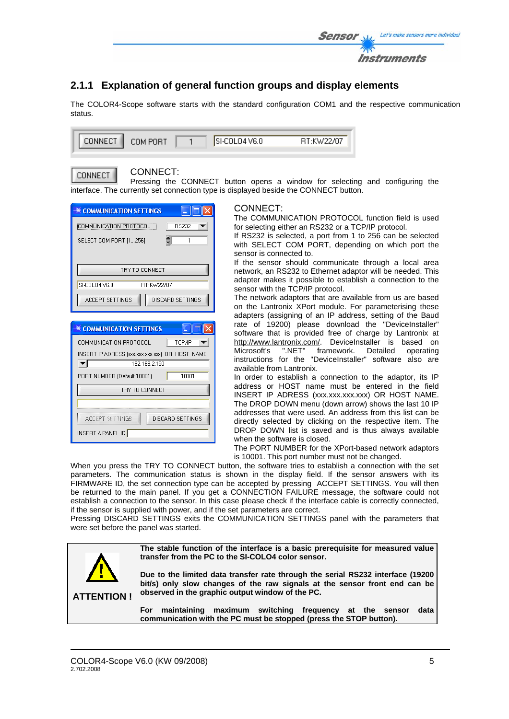

# **2.1.1 Explanation of general function groups and display elements**

The COLOR4-Scope software starts with the standard configuration COM1 and the respective communication status.

| <b>CONNECT</b> | COM PORT | ISHCOLO4 V6 O | BT:KW22/07 |
|----------------|----------|---------------|------------|
|                |          |               |            |

CONNECT.

CONNECT:

Pressing the CONNECT button opens a window for selecting and configuring the interface. The currently set connection type is displayed beside the CONNECT button.

| <b>EXECOMMUNICATION SETTINGS</b>                |
|-------------------------------------------------|
| COMMUNICATION PROTOCOL<br><b>RS232</b>          |
| SELECT COM PORT [1256]<br>1                     |
|                                                 |
| TRY TO CONNECT                                  |
| SI-COLO4 V6.0<br>BT:KW22/07                     |
| DISCARD SETTINGS<br><b>ACCEPT SETTINGS</b>      |
|                                                 |
| <b>ECOMMUNICATION SETTINGS</b>                  |
| COMMUNICATION PROTOCOL<br>TCP/IP                |
|                                                 |
| INSERT IP ADRESS (xxx.xxx.xxx.xxx) OR HOST NAME |
| $\blacktriangledown$<br>192.168.2.150           |
| 10001<br>PORT NUMBER (Default 10001)            |
| TRY TO CONNECT                                  |
|                                                 |
| DISCARD SETTINGS<br>ACTEPT SETTIMGS             |

#### CONNECT:

The COMMUNICATION PROTOCOL function field is used for selecting either an RS232 or a TCP/IP protocol.

If RS232 is selected, a port from 1 to 256 can be selected with SELECT COM PORT, depending on which port the sensor is connected to.

If the sensor should communicate through a local area network, an RS232 to Ethernet adaptor will be needed. This adapter makes it possible to establish a connection to the sensor with the TCP/IP protocol.

The network adaptors that are available from us are based on the Lantronix XPort module. For parameterising these adapters (assigning of an IP address, setting of the Baud rate of 19200) please download the "DeviceInstaller" software that is provided free of charge by Lantronix at http://www.lantronix.com/. DeviceInstaller is based on Microsoft's ".NET" framework. Detailed operating instructions for the "DeviceInstaller" software also are available from Lantronix.

In order to establish a connection to the adaptor, its IP address or HOST name must be entered in the field INSERT IP ADRESS (xxx.xxx.xxx.xxx) OR HOST NAME. The DROP DOWN menu (down arrow) shows the last 10 IP addresses that were used. An address from this list can be directly selected by clicking on the respective item. The DROP DOWN list is saved and is thus always available when the software is closed.

The PORT NUMBER for the XPort-based network adaptors is 10001. This port number must not be changed.

When you press the TRY TO CONNECT button, the software tries to establish a connection with the set parameters. The communication status is shown in the display field. If the sensor answers with its FIRMWARE ID, the set connection type can be accepted by pressing ACCEPT SETTINGS. You will then be returned to the main panel. If you get a CONNECTION FAILURE message, the software could not establish a connection to the sensor. In this case please check if the interface cable is correctly connected, if the sensor is supplied with power, and if the set parameters are correct.

Pressing DISCARD SETTINGS exits the COMMUNICATION SETTINGS panel with the parameters that were set before the panel was started.

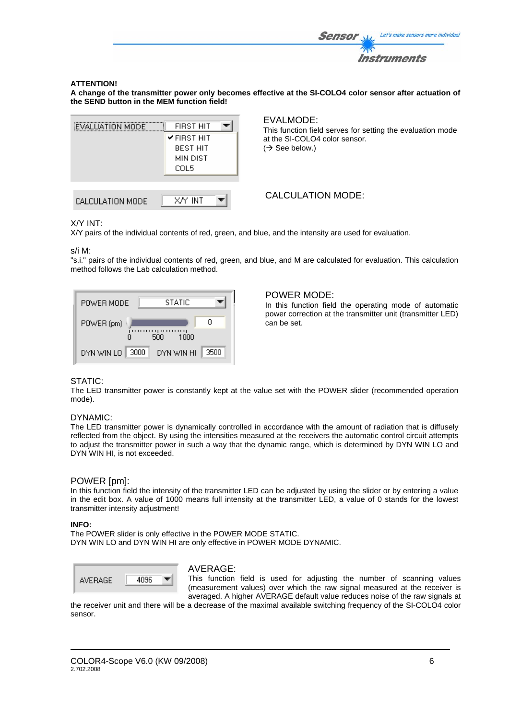

#### **ATTENTION!**

**A change of the transmitter power only becomes effective at the SI-COLO4 color sensor after actuation of the SEND button in the MEM function field!** 



#### EVALMODE:

This function field serves for setting the evaluation mode at the SI-COLO4 color sensor.  $(\rightarrow$  See below.)

### CALCULATION MODE:

#### X/Y INT:

X/Y pairs of the individual contents of red, green, and blue, and the intensity are used for evaluation.

s/i M:

"s.i." pairs of the individual contents of red, green, and blue, and M are calculated for evaluation. This calculation method follows the Lab calculation method.

| STATIC<br>POWER MODE                       |
|--------------------------------------------|
| п<br>POWER (pm)<br>,,,,,,,,<br>500<br>1000 |
| 3500<br>3000<br>DYN WIN LO<br>DYN WIN HI   |

#### POWER MODE:

In this function field the operating mode of automatic power correction at the transmitter unit (transmitter LED) can be set.

#### STATIC:

The LED transmitter power is constantly kept at the value set with the POWER slider (recommended operation mode).

#### DYNAMIC:

The LED transmitter power is dynamically controlled in accordance with the amount of radiation that is diffusely reflected from the object. By using the intensities measured at the receivers the automatic control circuit attempts to adjust the transmitter power in such a way that the dynamic range, which is determined by DYN WIN LO and DYN WIN HI, is not exceeded.

#### POWER [pm]:

In this function field the intensity of the transmitter LED can be adjusted by using the slider or by entering a value in the edit box. A value of 1000 means full intensity at the transmitter LED, a value of 0 stands for the lowest transmitter intensity adjustment!

#### **INFO:**

The POWER slider is only effective in the POWER MODE STATIC. DYN WIN LO and DYN WIN HI are only effective in POWER MODE DYNAMIC.



#### AVERAGE:

This function field is used for adjusting the number of scanning values (measurement values) over which the raw signal measured at the receiver is averaged. A higher AVERAGE default value reduces noise of the raw signals at

the receiver unit and there will be a decrease of the maximal available switching frequency of the SI-COLO4 color sensor.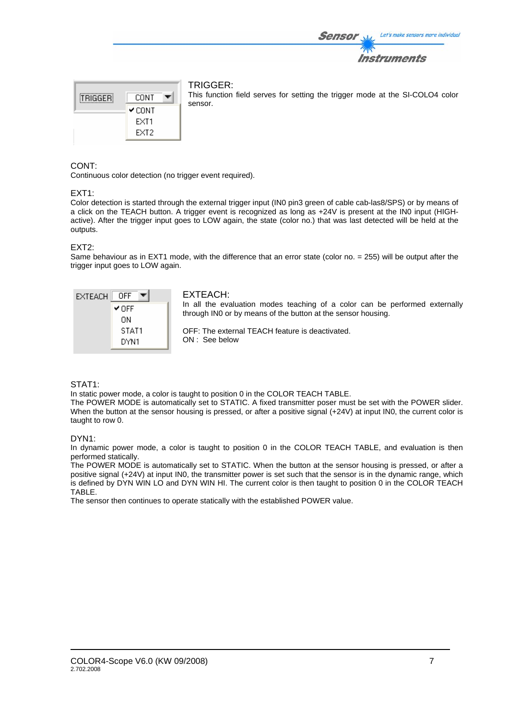



### TRIGGER:

This function field serves for setting the trigger mode at the SI-COLO4 color sensor.

#### CONT:

Continuous color detection (no trigger event required).

#### EXT1:

Color detection is started through the external trigger input (IN0 pin3 green of cable cab-las8/SPS) or by means of a click on the TEACH button. A trigger event is recognized as long as +24V is present at the IN0 input (HIGHactive). After the trigger input goes to LOW again, the state (color no.) that was last detected will be held at the outputs.

#### EXT2:

Same behaviour as in EXT1 mode, with the difference that an error state (color no. = 255) will be output after the trigger input goes to LOW again.



#### STAT1:

In static power mode, a color is taught to position 0 in the COLOR TEACH TABLE.

The POWER MODE is automatically set to STATIC. A fixed transmitter poser must be set with the POWER slider. When the button at the sensor housing is pressed, or after a positive signal (+24V) at input IN0, the current color is taught to row 0.

#### DYN1:

In dynamic power mode, a color is taught to position 0 in the COLOR TEACH TABLE, and evaluation is then performed statically.

The POWER MODE is automatically set to STATIC. When the button at the sensor housing is pressed, or after a positive signal (+24V) at input IN0, the transmitter power is set such that the sensor is in the dynamic range, which is defined by DYN WIN LO and DYN WIN HI. The current color is then taught to position 0 in the COLOR TEACH TABLE.

The sensor then continues to operate statically with the established POWER value.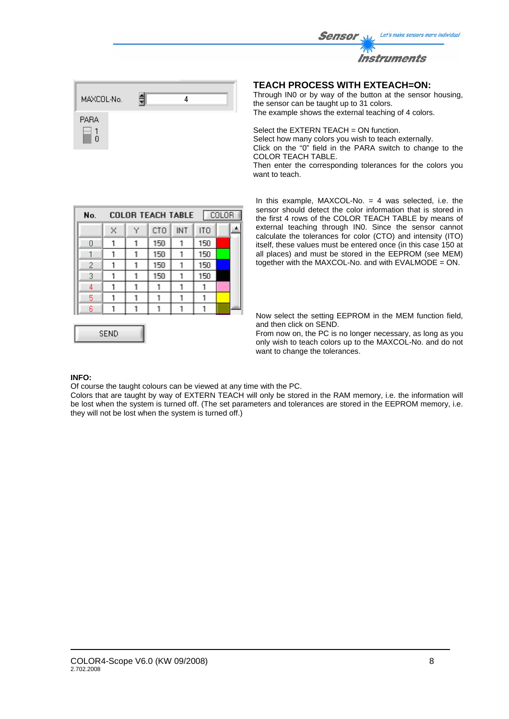

| MAXCOL-No. |  |  |  |
|------------|--|--|--|
| PARA       |  |  |  |

### **TEACH PROCESS WITH EXTEACH=ON:**

Through IN0 or by way of the button at the sensor housing, the sensor can be taught up to 31 colors. The example shows the external teaching of 4 colors.

Select the EXTERN TEACH = ON function. Select how many colors you wish to teach externally. Click on the "0" field in the PARA switch to change to the COLOR TEACH TABLE.

Then enter the corresponding tolerances for the colors you want to teach.

| No. |   |   | <b>COLOR TEACH TABLE</b> |     |     | COLOR |  |
|-----|---|---|--------------------------|-----|-----|-------|--|
|     | × | Y | CT <sub>O</sub>          | INT | ITO |       |  |
| 0   |   | 1 | 150                      | 1   | 150 |       |  |
|     |   |   | 150                      |     | 150 |       |  |
| 2   |   |   | 150                      |     | 150 |       |  |
| 3   |   |   | 150                      |     | 150 |       |  |
| 4   |   |   |                          |     |     |       |  |
| 5   |   |   |                          |     |     |       |  |
| 6   |   |   |                          |     |     |       |  |
|     |   |   |                          |     |     |       |  |

**SEND** 

In this example,  $MAXCOL-No. = 4$  was selected, i.e. the sensor should detect the color information that is stored in the first 4 rows of the COLOR TEACH TABLE by means of external teaching through IN0. Since the sensor cannot calculate the tolerances for color (CTO) and intensity (ITO) itself, these values must be entered once (in this case 150 at all places) and must be stored in the EEPROM (see MEM) together with the MAXCOL-No. and with EVALMODE = ON.

Now select the setting EEPROM in the MEM function field, and then click on SEND.

From now on, the PC is no longer necessary, as long as you only wish to teach colors up to the MAXCOL-No. and do not want to change the tolerances.

#### **INFO:**

Of course the taught colours can be viewed at any time with the PC.

Colors that are taught by way of EXTERN TEACH will only be stored in the RAM memory, i.e. the information will be lost when the system is turned off. (The set parameters and tolerances are stored in the EEPROM memory, i.e. they will not be lost when the system is turned off.)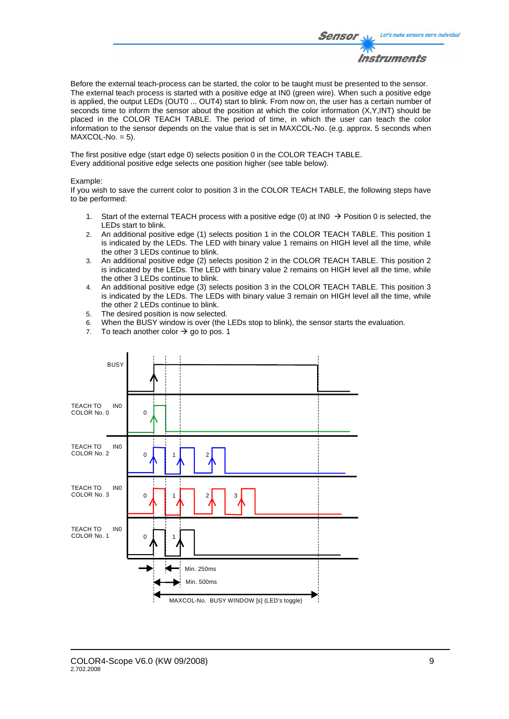

Before the external teach-process can be started, the color to be taught must be presented to the sensor. The external teach process is started with a positive edge at IN0 (green wire). When such a positive edge is applied, the output LEDs (OUT0 ... OUT4) start to blink. From now on, the user has a certain number of seconds time to inform the sensor about the position at which the color information (X,Y,INT) should be placed in the COLOR TEACH TABLE. The period of time, in which the user can teach the color information to the sensor depends on the value that is set in MAXCOL-No. (e.g. approx. 5 seconds when  $MAXCOL-No. = 5$ ).

The first positive edge (start edge 0) selects position 0 in the COLOR TEACH TABLE. Every additional positive edge selects one position higher (see table below).

#### Example:

If you wish to save the current color to position 3 in the COLOR TEACH TABLE, the following steps have to be performed:

- 1. Start of the external TEACH process with a positive edge (0) at IN0  $\rightarrow$  Position 0 is selected, the LEDs start to blink.
- 2. An additional positive edge (1) selects position 1 in the COLOR TEACH TABLE. This position 1 is indicated by the LEDs. The LED with binary value 1 remains on HIGH level all the time, while the other 3 LEDs continue to blink.
- 3. An additional positive edge (2) selects position 2 in the COLOR TEACH TABLE. This position 2 is indicated by the LEDs. The LED with binary value 2 remains on HIGH level all the time, while the other 3 LEDs continue to blink.
- 4. An additional positive edge (3) selects position 3 in the COLOR TEACH TABLE. This position 3 is indicated by the LEDs. The LEDs with binary value 3 remain on HIGH level all the time, while the other 2 LEDs continue to blink.
- 5. The desired position is now selected.
- 6. When the BUSY window is over (the LEDs stop to blink), the sensor starts the evaluation.
- 7. To teach another color  $\rightarrow$  go to pos. 1

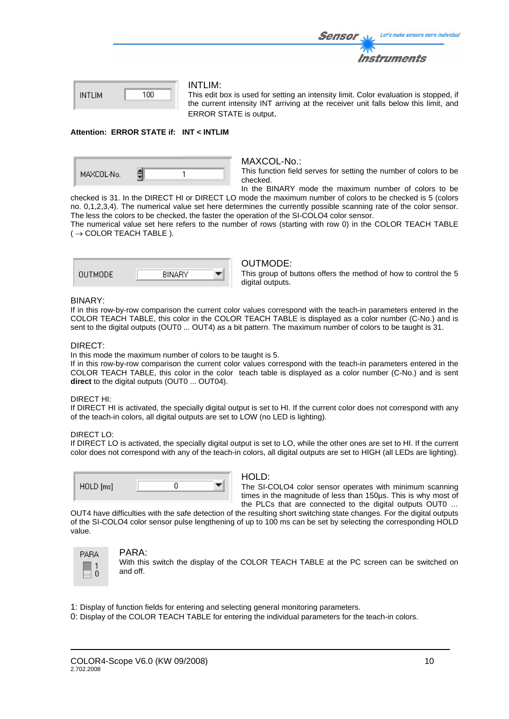|     | Let's make sensors more individua<br><b>Sensor</b>                                              |  |
|-----|-------------------------------------------------------------------------------------------------|--|
|     | <b>Instruments</b>                                                                              |  |
|     |                                                                                                 |  |
| ،nn | INTLIM:<br>This adit hay is used for setting an intensity limit. Color evaluation is stanned if |  |

| <b>INTLIM</b> | 100 |
|---------------|-----|
|               |     |

This edit box is used for setting an intensity limit. Color evaluation is stopped, if the current intensity INT arriving at the receiver unit falls below this limit, and ERROR STATE is output.

#### **Attention: ERROR STATE if: INT < INTLIM**

| MAXCOL-No. |  |  |
|------------|--|--|
|------------|--|--|

#### MAXCOL-No.:

This function field serves for setting the number of colors to be checked.

In the BINARY mode the maximum number of colors to be checked is 31. In the DIRECT HI or DIRECT LO mode the maximum number of colors to be checked is 5 (colors no. 0,1,2,3,4). The numerical value set here determines the currently possible scanning rate of the color sensor. The less the colors to be checked, the faster the operation of the SI-COLO4 color sensor.

The numerical value set here refers to the number of rows (starting with row 0) in the COLOR TEACH TABLE  $($   $\rightarrow$  COLOR TEACH TABLE ).

| BINARY |  |
|--------|--|
|        |  |

#### OUTMODE:

This group of buttons offers the method of how to control the 5 digital outputs.

#### BINARY:

If in this row-by-row comparison the current color values correspond with the teach-in parameters entered in the COLOR TEACH TABLE, this color in the COLOR TEACH TABLE is displayed as a color number (C-No.) and is sent to the digital outputs (OUT0 ... OUT4) as a bit pattern. The maximum number of colors to be taught is 31.

#### DIRECT:

In this mode the maximum number of colors to be taught is 5.

If in this row-by-row comparison the current color values correspond with the teach-in parameters entered in the COLOR TEACH TABLE, this color in the color teach table is displayed as a color number (C-No.) and is sent **direct** to the digital outputs (OUT0 ... OUT04).

#### DIRECT HI:

If DIRECT HI is activated, the specially digital output is set to HI. If the current color does not correspond with any of the teach-in colors, all digital outputs are set to LOW (no LED is lighting).

#### DIRECT LO:

If DIRECT LO is activated, the specially digital output is set to LO, while the other ones are set to HI. If the current color does not correspond with any of the teach-in colors, all digital outputs are set to HIGH (all LEDs are lighting).

| HOLD [ms] |  |
|-----------|--|
|           |  |

#### HOLD:

The SI-COLO4 color sensor operates with minimum scanning times in the magnitude of less than 150µs. This is why most of the PLCs that are connected to the digital outputs OUT0 …

OUT4 have difficulties with the safe detection of the resulting short switching state changes. For the digital outputs of the SI-COLO4 color sensor pulse lengthening of up to 100 ms can be set by selecting the corresponding HOLD value.



#### PARA:

With this switch the display of the COLOR TEACH TABLE at the PC screen can be switched on and off.

- 1: Display of function fields for entering and selecting general monitoring parameters.
- 0: Display of the COLOR TEACH TABLE for entering the individual parameters for the teach-in colors.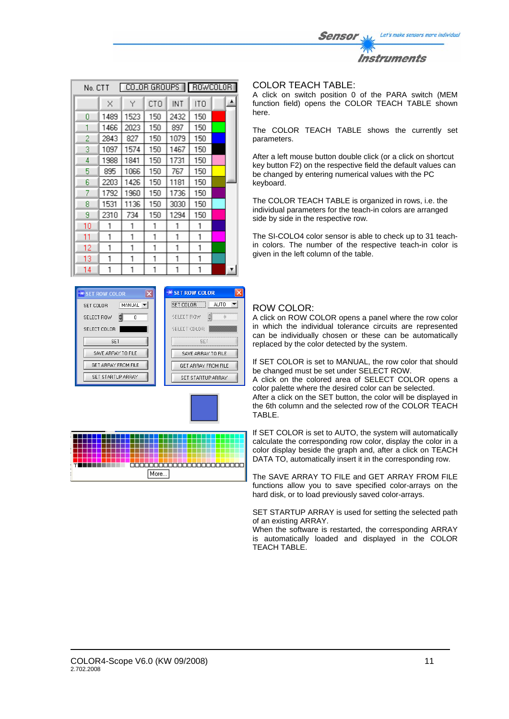| COLOR GROUPS   ROWCOLOR<br>No. CTT |          |      |     |      |     |  |    |
|------------------------------------|----------|------|-----|------|-----|--|----|
|                                    | $\times$ | Y    | CTO | INT  | ITO |  | ۸  |
| 0                                  | 1489     | 1523 | 150 | 2432 | 150 |  |    |
| 1                                  | 1466     | 2023 | 150 | 897  | 150 |  |    |
| 2                                  | 2843     | 827  | 150 | 1079 | 150 |  |    |
| 3                                  | 1097     | 1574 | 150 | 1467 | 150 |  |    |
| 4                                  | 1988     | 1841 | 150 | 1731 | 150 |  |    |
| 5                                  | 895      | 1066 | 150 | 767  | 150 |  |    |
| 6                                  | 2203     | 1426 | 150 | 1181 | 150 |  |    |
| 7                                  | 1792     | 1960 | 150 | 1736 | 150 |  |    |
| 8                                  | 1531     | 1136 | 150 | 3030 | 150 |  |    |
| 9                                  | 2310     | 734  | 150 | 1294 | 150 |  |    |
| 10                                 | 1        | 1    | 1   | 1    | 1   |  |    |
| 11                                 | 1        | 1    | 1   | 1    | 1   |  |    |
| 12                                 | 1        | 1    | 1   | 1    | 1   |  |    |
| 13                                 | 1        | 1    | 1   | 1    | 1   |  |    |
| 14                                 | 1        | 1    | 1   | 1    | 1   |  | Ŧ. |







#### COLOR TEACH TABLE:

A click on switch position 0 of the PARA switch (MEM function field) opens the COLOR TEACH TABLE shown here.

Sensor

Let's make sensors more individual

Instruments

The COLOR TEACH TABLE shows the currently set parameters.

After a left mouse button double click (or a click on shortcut key button F2) on the respective field the default values can be changed by entering numerical values with the PC keyboard.

The COLOR TEACH TABLE is organized in rows, i.e. the individual parameters for the teach-in colors are arranged side by side in the respective row.

The SI-COLO4 color sensor is able to check up to 31 teachin colors. The number of the respective teach-in color is given in the left column of the table.

### ROW COLOR:

A click on ROW COLOR opens a panel where the row color in which the individual tolerance circuits are represented can be individually chosen or these can be automatically replaced by the color detected by the system.

If SET COLOR is set to MANUAL, the row color that should be changed must be set under SELECT ROW.

A click on the colored area of SELECT COLOR opens a color palette where the desired color can be selected.

After a click on the SET button, the color will be displayed in the 6th column and the selected row of the COLOR TEACH TABLE.

If SET COLOR is set to AUTO, the system will automatically calculate the corresponding row color, display the color in a color display beside the graph and, after a click on TEACH DATA TO, automatically insert it in the corresponding row.

The SAVE ARRAY TO FILE and GET ARRAY FROM FILE functions allow you to save specified color-arrays on the hard disk, or to load previously saved color-arrays.

SET STARTUP ARRAY is used for setting the selected path of an existing ARRAY.

When the software is restarted, the corresponding ARRAY is automatically loaded and displayed in the COLOR TEACH TABLE.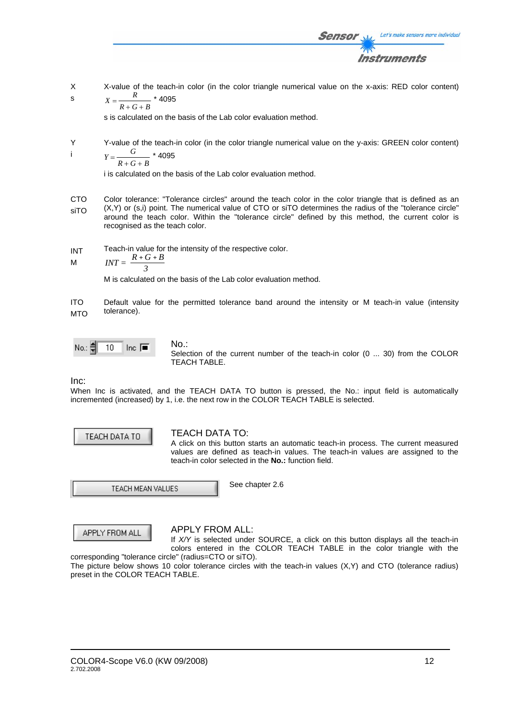

Sensol

$$
X=\frac{R}{R+G+B} \times 409
$$

s is calculated on the basis of the Lab color evaluation method.

Y i Y-value of the teach-in color (in the color triangle numerical value on the y-axis: GREEN color content) *Y G* \* 4095

$$
Y=\frac{6}{R+G+B} \times 409
$$

i is calculated on the basis of the Lab color evaluation method.

CTO siTO Color tolerance: "Tolerance circles" around the teach color in the color triangle that is defined as an (X,Y) or (s,i) point. The numerical value of CTO or siTO determines the radius of the "tolerance circle" around the teach color. Within the "tolerance circle" defined by this method, the current color is recognised as the teach color.

INT Teach-in value for the intensity of the respective color.

$$
M \hspace{1cm} INT = \frac{R + G + B}{3}
$$

M is calculated on the basis of the Lab color evaluation method.

ITO MTO Default value for the permitted tolerance band around the intensity or M teach-in value (intensity tolerance).

No.: 
$$
\frac{2}{5}
$$
 10 Inc.  $\boxed{•}$ 

No.: Selection of the current number of the teach-in color (0 ... 30) from the COLOR TEACH TABLE.

Inc:

When Inc is activated, and the TEACH DATA TO button is pressed, the No.: input field is automatically incremented (increased) by 1, i.e. the next row in the COLOR TEACH TABLE is selected.



### TEACH DATA TO:

A click on this button starts an automatic teach-in process. The current measured values are defined as teach-in values. The teach-in values are assigned to the teach-in color selected in the **No.:** function field.

TEACH MEAN VALUES

See chapter 2.6

APPLY FROM ALL

### APPLY FROM ALL:

If *X/Y* is selected under SOURCE, a click on this button displays all the teach-in colors entered in the COLOR TEACH TABLE in the color triangle with the corresponding "tolerance circle" (radius=CTO or siTO).

The picture below shows 10 color tolerance circles with the teach-in values (X,Y) and CTO (tolerance radius) preset in the COLOR TEACH TABLE.

Let's make sensors more individual

Instruments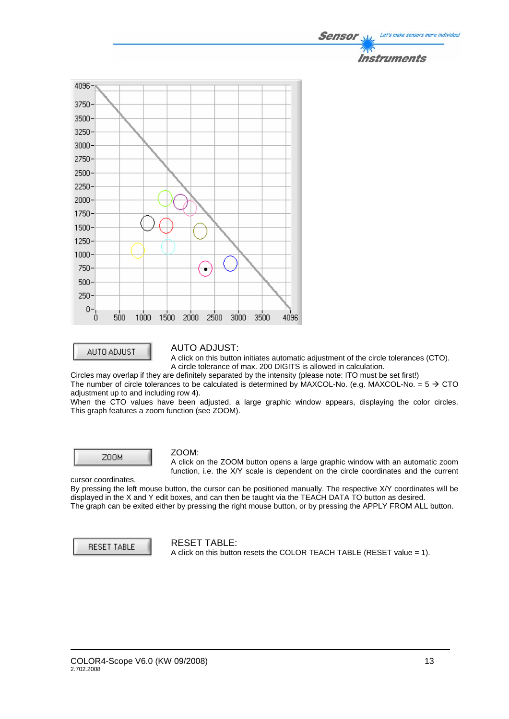

AUTO ADJUST

#### AUTO ADJUST:

A click on this button initiates automatic adjustment of the circle tolerances (CTO). A circle tolerance of max. 200 DIGITS is allowed in calculation.

Circles may overlap if they are definitely separated by the intensity (please note: ITO must be set first!)

The number of circle tolerances to be calculated is determined by MAXCOL-No. (e.g. MAXCOL-No. =  $5 \rightarrow$  CTO adiustment up to and including row 4).

When the CTO values have been adjusted, a large graphic window appears, displaying the color circles. This graph features a zoom function (see ZOOM).



#### ZOOM:

A click on the ZOOM button opens a large graphic window with an automatic zoom function, i.e. the X/Y scale is dependent on the circle coordinates and the current

cursor coordinates. By pressing the left mouse button, the cursor can be positioned manually. The respective X/Y coordinates will be displayed in the X and Y edit boxes, and can then be taught via the TEACH DATA TO button as desired. The graph can be exited either by pressing the right mouse button, or by pressing the APPLY FROM ALL button.

**RESET TABLE** 

#### RESET TABLE:

A click on this button resets the COLOR TEACH TABLE (RESET value = 1).

Let's make sensors more individua.

Instruments

Sensor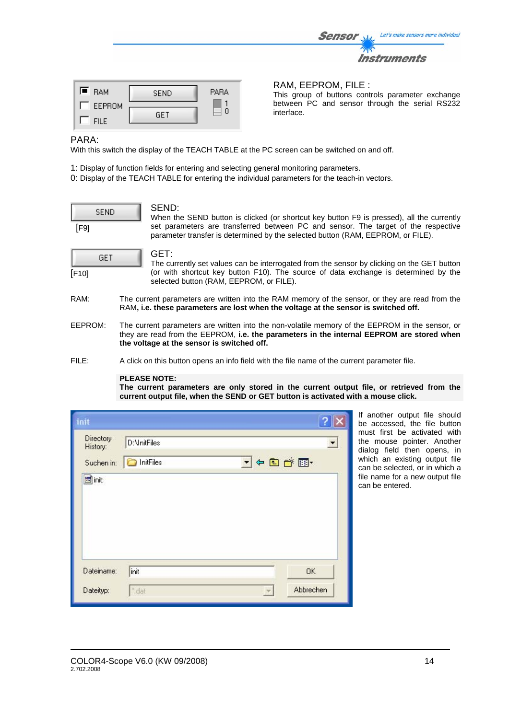| <b>RAM</b> | <b>SEND</b> | <b>PARA</b> | RAM, EEPROM,<br>This group of buttor<br>between PC and se |
|------------|-------------|-------------|-----------------------------------------------------------|

 $\Box$  0

#### $FILE$ : ns controls parameter exchange ensor through the serial RS232 interface.

Sensor

Let's make sensors more individual

Instruments

#### PARA:

 $\blacksquare$  RAM

**FILE** 

With this switch the display of the TEACH TABLE at the PC screen can be switched on and off.

- 1: Display of function fields for entering and selecting general monitoring parameters.
- 0: Display of the TEACH TABLE for entering the individual parameters for the teach-in vectors.

|      | SEND |  |
|------|------|--|
| [F9] |      |  |

#### SEND:

GET

When the SEND button is clicked (or shortcut key button F9 is pressed), all the currently set parameters are transferred between PC and sensor. The target of the respective parameter transfer is determined by the selected button (RAM, EEPROM, or FILE).

|       | GET |  |
|-------|-----|--|
| [F10] |     |  |

GET:

The currently set values can be interrogated from the sensor by clicking on the GET button (or with shortcut key button F10). The source of data exchange is determined by the selected button (RAM, EEPROM, or FILE).

- RAM: The current parameters are written into the RAM memory of the sensor, or they are read from the RAM**, i.e. these parameters are lost when the voltage at the sensor is switched off.**
- EEPROM: The current parameters are written into the non-volatile memory of the EEPROM in the sensor, or they are read from the EEPROM, **i.e. the parameters in the internal EEPROM are stored when the voltage at the sensor is switched off.**
- FILE: A click on this button opens an info field with the file name of the current parameter file.

#### **PLEASE NOTE:**

**The current parameters are only stored in the current output file, or retrieved from the current output file, when the SEND or GET button is activated with a mouse click.**

| init                  |              |              | G                        |
|-----------------------|--------------|--------------|--------------------------|
| Directory<br>History: | D:\InitFiles |              | $\overline{\phantom{a}}$ |
| Suchen in:            | InitFiles    | ▼←国び国        |                          |
| <b><u>ta</u></b> init |              |              |                          |
|                       |              |              |                          |
|                       |              |              |                          |
|                       |              |              |                          |
| Dateiname:            | init         |              | OK.                      |
| Dateityp:             | * dat        | $\mathbf{v}$ | Abbrechen                |

If another output file should be accessed, the file button must first be activated with the mouse pointer. Another dialog field then opens, in which an existing output file can be selected, or in which a file name for a new output file can be entered.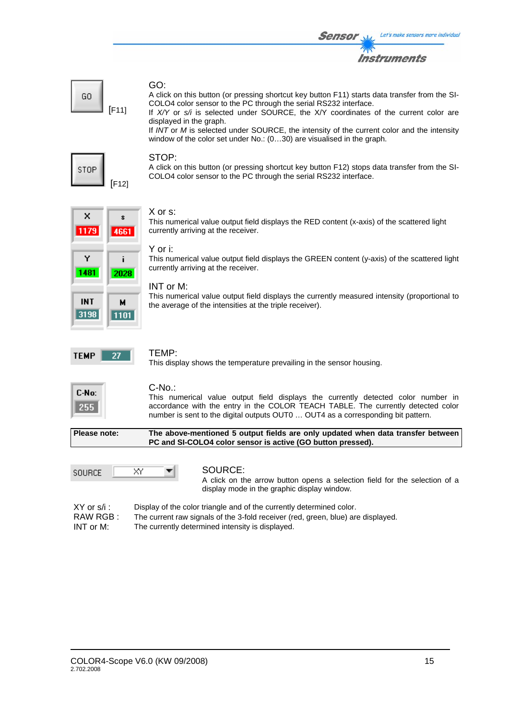

#### GO:

A click on this button (or pressing shortcut key button F11) starts data transfer from the SI-COLO4 color sensor to the PC through the serial RS232 interface.

If *X/Y* or *s/i* is selected under SOURCE, the X/Y coordinates of the current color are displayed in the graph.

If *INT* or *M* is selected under SOURCE, the intensity of the current color and the intensity window of the color set under No.: (0...30) are visualised in the graph.



GO

[F11]

#### STOP:

A click on this button (or pressing shortcut key button F12) stops data transfer from the SI-COLO4 color sensor to the PC through the serial RS232 interface.

#### $\boldsymbol{\mathsf{x}}$  $\mathbf{x}$ 1179 4661 Ÿ ì 1481 2028 **INT** м 3198 | 1101 |

#### X or s:

This numerical value output field displays the RED content (x-axis) of the scattered light currently arriving at the receiver.

#### Y or i:

This numerical value output field displays the GREEN content (y-axis) of the scattered light currently arriving at the receiver.

#### INT or M:

This numerical value output field displays the currently measured intensity (proportional to the average of the intensities at the triple receiver).



#### TEMP:

This display shows the temperature prevailing in the sensor housing.

| C-No: |
|-------|
| 515   |

#### C-No.:

This numerical value output field displays the currently detected color number in accordance with the entry in the COLOR TEACH TABLE. The currently detected color number is sent to the digital outputs OUT0 … OUT4 as a corresponding bit pattern.

**Please note: The above-mentioned 5 output fields are only updated when data transfer between PC and SI-COLO4 color sensor is active (GO button pressed).**



#### SOURCE:

A click on the arrow button opens a selection field for the selection of a display mode in the graphic display window.

XY or s/i : Display of the color triangle and of the currently determined color. RAW RGB : The current raw signals of the 3-fold receiver (red, green, blue) are displayed. INT or M: The currently determined intensity is displayed.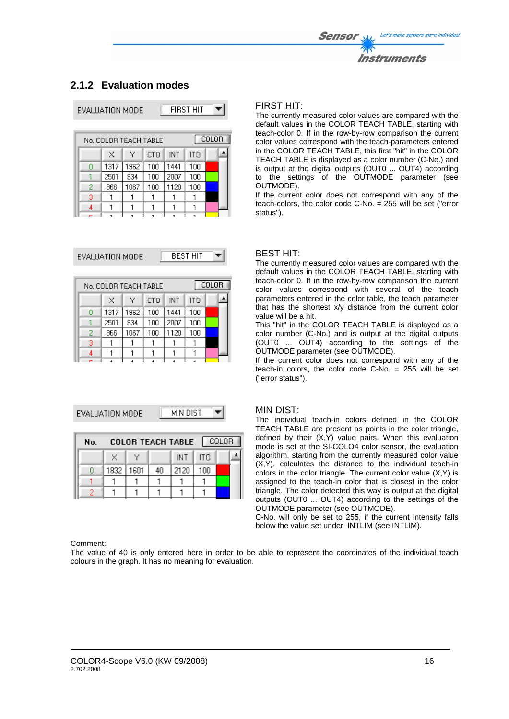

# **2.1.2 Evaluation modes**

| EVALUATION MODE | <b>FIRST HIT</b> |
|-----------------|------------------|

| No. COLOR TEACH TABLE |      |      |            |      |     | COLOR |  |
|-----------------------|------|------|------------|------|-----|-------|--|
|                       | ×    | Υ    | <b>CTO</b> | INT  | ITO |       |  |
| П                     | 1317 | 1962 | 100        | 1441 | 100 |       |  |
|                       | 2501 | 834  | 100        | 2007 | 100 |       |  |
| 2                     | 866  | 1067 | 100        | 1120 | 100 |       |  |
| 3                     |      |      |            |      |     |       |  |
|                       |      |      |            |      |     |       |  |
|                       |      |      |            |      |     |       |  |

EVALUATION MODE

**BEST HIT** ┳

 $\blacktriangledown$ 

| No. COLOR TEACH TABLE |      |      |     |      |     | <b>COLOR</b> |  |
|-----------------------|------|------|-----|------|-----|--------------|--|
|                       | x    | ٧    | CTO | INT  | ITO |              |  |
|                       | 1317 | 1962 | 100 | 1441 | 100 |              |  |
|                       | 2501 | 834  | 100 | 2007 | 100 |              |  |
| 2                     | 866  | 1067 | 100 | 1120 | 100 |              |  |
| 3                     |      |      |     |      |     |              |  |
|                       |      |      |     |      |     |              |  |
| -                     |      |      |     |      |     |              |  |

EVALUATION MODE

**MIN DIST** 

| No. |             | COLOR TEACH TABLE   COLOR |      |     |  |
|-----|-------------|---------------------------|------|-----|--|
|     | ×           |                           | INT. | ITO |  |
|     | 1832   1601 | 40                        | 2120 | 100 |  |
|     |             |                           |      |     |  |
|     |             |                           |      |     |  |

### FIRST HIT:

The currently measured color values are compared with the default values in the COLOR TEACH TABLE, starting with teach-color 0. If in the row-by-row comparison the current color values correspond with the teach-parameters entered in the COLOR TEACH TABLE, this first "hit" in the COLOR TEACH TABLE is displayed as a color number (C-No.) and is output at the digital outputs (OUT0 ... OUT4) according to the settings of the OUTMODE parameter (see OUTMODE).

If the current color does not correspond with any of the teach-colors, the color code C-No. = 255 will be set ("error status").

#### BEST HIT:

The currently measured color values are compared with the default values in the COLOR TEACH TABLE, starting with teach-color 0. If in the row-by-row comparison the current color values correspond with several of the teach parameters entered in the color table, the teach parameter that has the shortest x/y distance from the current color value will be a hit.

This "hit" in the COLOR TEACH TABLE is displayed as a color number (C-No.) and is output at the digital outputs (OUT0 ... OUT4) according to the settings of the OUTMODE parameter (see OUTMODE).

If the current color does not correspond with any of the teach-in colors, the color code C-No. = 255 will be set ("error status").

#### MIN DIST:

The individual teach-in colors defined in the COLOR TEACH TABLE are present as points in the color triangle, defined by their (X,Y) value pairs. When this evaluation mode is set at the SI-COLO4 color sensor, the evaluation algorithm, starting from the currently measured color value (X,Y), calculates the distance to the individual teach-in colors in the color triangle. The current color value (X,Y) is assigned to the teach-in color that is closest in the color triangle. The color detected this way is output at the digital outputs (OUT0 ... OUT4) according to the settings of the OUTMODE parameter (see OUTMODE).

C-No. will only be set to 255, if the current intensity falls below the value set under INTLIM (see INTLIM).

#### Comment:

The value of 40 is only entered here in order to be able to represent the coordinates of the individual teach colours in the graph. It has no meaning for evaluation.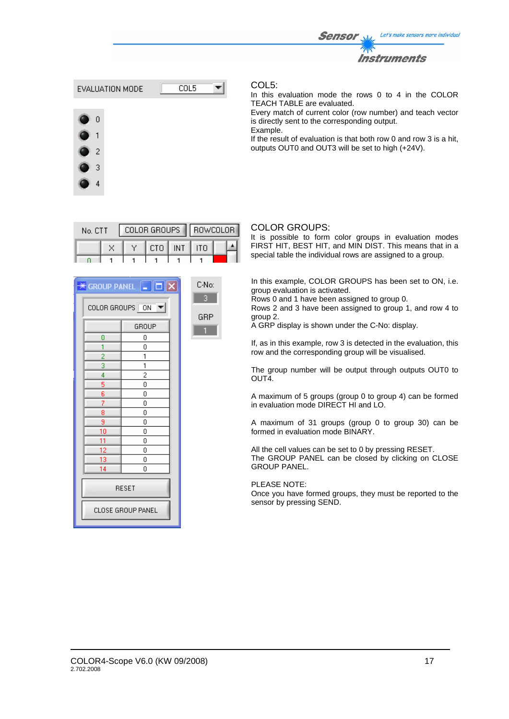



In this evaluation mode the rows 0 to 4 in the COLOR TEACH TABLE are evaluated.

Every match of current color (row number) and teach vector is directly sent to the corresponding output. Example.

If the result of evaluation is that both row 0 and row 3 is a hit, outputs OUT0 and OUT3 will be set to high (+24V).

| No. CTT |  | COLOR GROUPS   ROWCOLOR |                  |  |  |  |  |
|---------|--|-------------------------|------------------|--|--|--|--|
|         |  |                         | Y ECTO EINT EITO |  |  |  |  |
|         |  |                         |                  |  |  |  |  |

|                      | $\mathbb H$ group panel $\ \mathbf -\ \mathbf -\ $ $\mathbf X$ |  |  |  |  |
|----------------------|----------------------------------------------------------------|--|--|--|--|
| COLOR GROUPS ON<br>▼ |                                                                |  |  |  |  |
|                      | GROUP                                                          |  |  |  |  |
| 0                    | 0                                                              |  |  |  |  |
| 1                    | 0                                                              |  |  |  |  |
| 2                    | 1                                                              |  |  |  |  |
| 3                    | 1                                                              |  |  |  |  |
| 4                    | $\overline{c}$                                                 |  |  |  |  |
| 5                    | 0                                                              |  |  |  |  |
| 6                    | 0                                                              |  |  |  |  |
| 7                    | Ō                                                              |  |  |  |  |
| 8                    | 0                                                              |  |  |  |  |
| 9                    | 0                                                              |  |  |  |  |
| 10                   | 0                                                              |  |  |  |  |
| 11                   | 0                                                              |  |  |  |  |
| 12                   | 0                                                              |  |  |  |  |
| 13                   | 0                                                              |  |  |  |  |
| 14                   | 0                                                              |  |  |  |  |
| <b>RESET</b>         |                                                                |  |  |  |  |
|                      | CLOSE GROUP PANEL                                              |  |  |  |  |



#### COLOR GROUPS:

It is possible to form color groups in evaluation modes FIRST HIT, BEST HIT, and MIN DIST. This means that in a special table the individual rows are assigned to a group.

In this example, COLOR GROUPS has been set to ON, i.e. group evaluation is activated.

Rows 0 and 1 have been assigned to group 0.

Rows 2 and 3 have been assigned to group 1, and row 4 to group 2.

A GRP display is shown under the C-No: display.

If, as in this example, row 3 is detected in the evaluation, this row and the corresponding group will be visualised.

The group number will be output through outputs OUT0 to OUT4.

A maximum of 5 groups (group 0 to group 4) can be formed in evaluation mode DIRECT HI and LO.

A maximum of 31 groups (group 0 to group 30) can be formed in evaluation mode BINARY.

All the cell values can be set to 0 by pressing RESET. The GROUP PANEL can be closed by clicking on CLOSE GROUP PANEL.

PLEASE NOTE:

Once you have formed groups, they must be reported to the sensor by pressing SEND.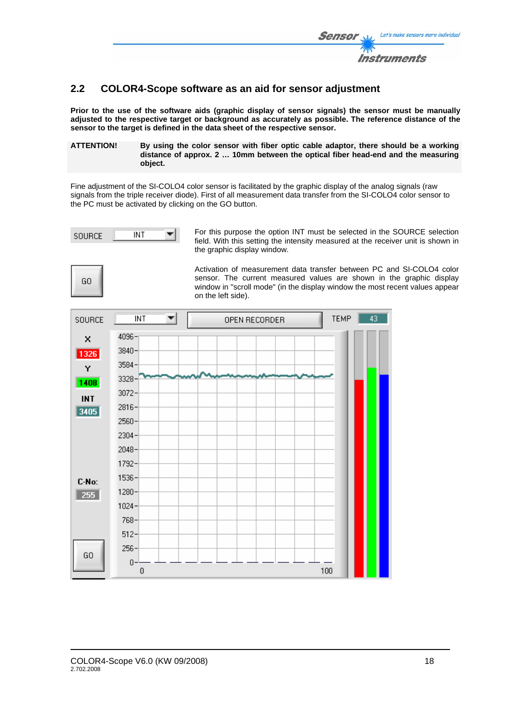

# **2.2 COLOR4-Scope software as an aid for sensor adjustment**

**Prior to the use of the software aids (graphic display of sensor signals) the sensor must be manually adjusted to the respective target or background as accurately as possible. The reference distance of the sensor to the target is defined in the data sheet of the respective sensor.** 

**ATTENTION! By using the color sensor with fiber optic cable adaptor, there should be a working distance of approx. 2 … 10mm between the optical fiber head-end and the measuring object.** 

Fine adjustment of the SI-COLO4 color sensor is facilitated by the graphic display of the analog signals (raw signals from the triple receiver diode). First of all measurement data transfer from the SI-COLO4 color sensor to the PC must be activated by clicking on the GO button.



For this purpose the option INT must be selected in the SOURCE selection field. With this setting the intensity measured at the receiver unit is shown in the graphic display window.

GO

Activation of measurement data transfer between PC and SI-COLO4 color sensor. The current measured values are shown in the graphic display window in "scroll mode" (in the display window the most recent values appear on the left side).

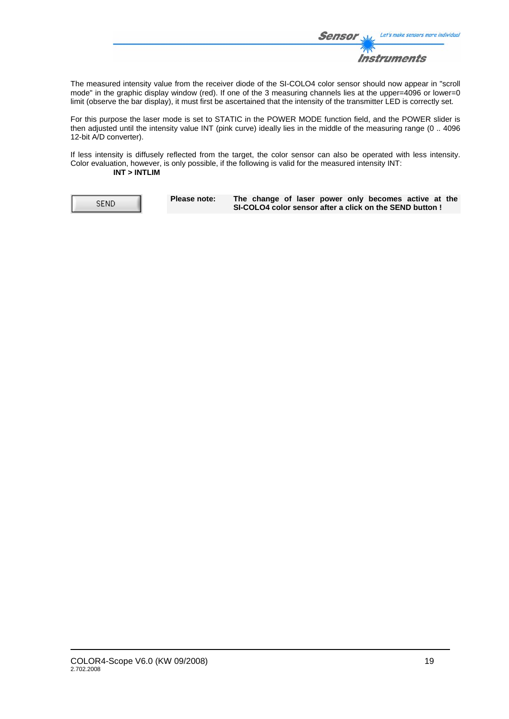

The measured intensity value from the receiver diode of the SI-COLO4 color sensor should now appear in "scroll mode" in the graphic display window (red). If one of the 3 measuring channels lies at the upper=4096 or lower=0 limit (observe the bar display), it must first be ascertained that the intensity of the transmitter LED is correctly set.

For this purpose the laser mode is set to STATIC in the POWER MODE function field, and the POWER slider is then adjusted until the intensity value INT (pink curve) ideally lies in the middle of the measuring range (0 .. 4096 12-bit A/D converter).

If less intensity is diffusely reflected from the target, the color sensor can also be operated with less intensity. Color evaluation, however, is only possible, if the following is valid for the measured intensity INT: **INT > INTLIM**

**SEND** 

**Please note: The change of laser power only becomes active at the SI-COLO4 color sensor after a click on the SEND button !**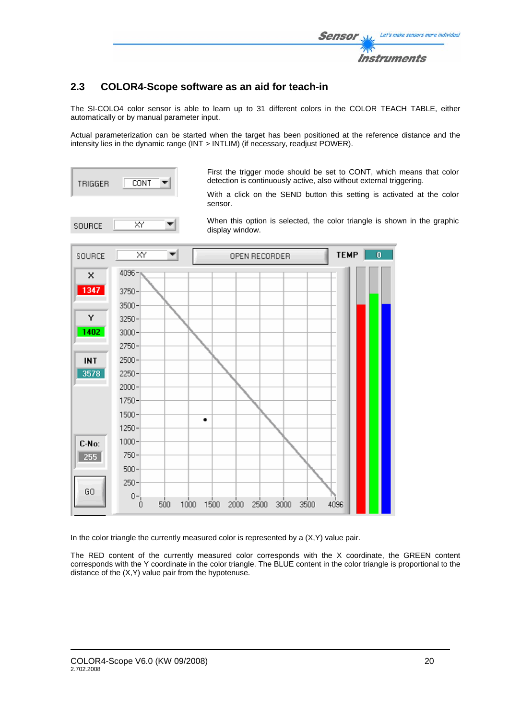

# **2.3 COLOR4-Scope software as an aid for teach-in**

The SI-COLO4 color sensor is able to learn up to 31 different colors in the COLOR TEACH TABLE, either automatically or by manual parameter input.

Actual parameterization can be started when the target has been positioned at the reference distance and the intensity lies in the dynamic range (INT > INTLIM) (if necessary, readjust POWER).



First the trigger mode should be set to CONT, which means that color detection is continuously active, also without external triggering.

With a click on the SEND button this setting is activated at the color sensor.



When this option is selected, the color triangle is shown in the graphic display window.



In the color triangle the currently measured color is represented by a  $(X,Y)$  value pair.

The RED content of the currently measured color corresponds with the X coordinate, the GREEN content corresponds with the Y coordinate in the color triangle. The BLUE content in the color triangle is proportional to the distance of the (X,Y) value pair from the hypotenuse.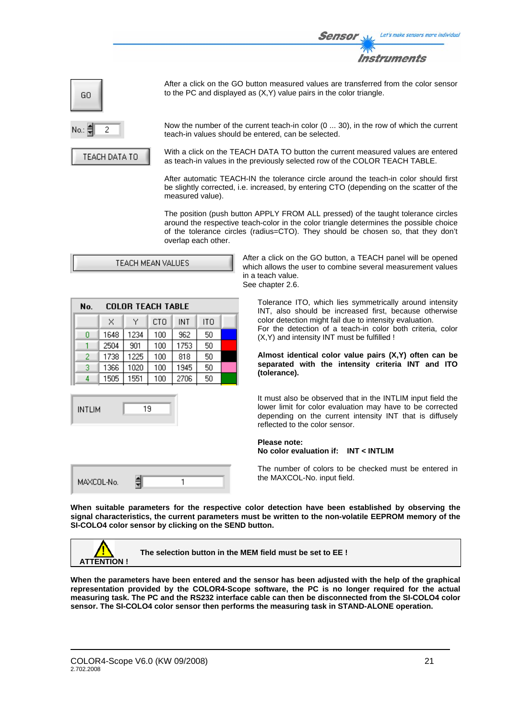

| GO   |  |
|------|--|
| No.: |  |

TEACH DATA TO

After a click on the GO button measured values are transferred from the color sensor to the PC and displayed as (X,Y) value pairs in the color triangle.

Now the number of the current teach-in color (0 ... 30), in the row of which the current teach-in values should be entered, can be selected.

With a click on the TEACH DATA TO button the current measured values are entered as teach-in values in the previously selected row of the COLOR TEACH TABLE.

After automatic TEACH-IN the tolerance circle around the teach-in color should first be slightly corrected, i.e. increased, by entering CTO (depending on the scatter of the measured value).

The position (push button APPLY FROM ALL pressed) of the taught tolerance circles around the respective teach-color in the color triangle determines the possible choice of the tolerance circles (radius=CTO). They should be chosen so, that they don't overlap each other.

| TEACH MEAN VALUES |  |
|-------------------|--|
|-------------------|--|

| No. | <b>COLOR TEACH TABLE</b> |      |     |      |                 |  |  |
|-----|--------------------------|------|-----|------|-----------------|--|--|
|     | x.                       | Υ    | CTO | INT  | IT <sub>O</sub> |  |  |
| 0   | 1648                     | 1234 | 100 | 962  | 50              |  |  |
|     | 2504                     | 901  | 100 | 1753 | 50              |  |  |
| 2   | 1738                     | 1225 | 100 | 818  | 50              |  |  |
| 3   | 1366                     | 1020 | 100 | 1945 | 50              |  |  |
|     | 1505                     | 1551 | 100 | 2706 | 50              |  |  |



| MAXCOL-No. |  |
|------------|--|
|------------|--|

After a click on the GO button, a TEACH panel will be opened which allows the user to combine several measurement values in a teach value. See chapter 2.6.

Tolerance ITO, which lies symmetrically around intensity INT, also should be increased first, because otherwise color detection might fail due to intensity evaluation. For the detection of a teach-in color both criteria, color (X,Y) and intensity INT must be fulfilled !

**Almost identical color value pairs (X,Y) often can be separated with the intensity criteria INT and ITO (tolerance).**

It must also be observed that in the INTLIM input field the lower limit for color evaluation may have to be corrected depending on the current intensity INT that is diffusely reflected to the color sensor.

#### **Please note: No color evaluation if: INT < INTLIM**

The number of colors to be checked must be entered in the MAXCOL-No. input field.

**When suitable parameters for the respective color detection have been established by observing the signal characteristics, the current parameters must be written to the non-volatile EEPROM memory of the SI-COLO4 color sensor by clicking on the SEND button.** 



**The selection button in the MEM field must be set to EE !** 

**When the parameters have been entered and the sensor has been adjusted with the help of the graphical representation provided by the COLOR4-Scope software, the PC is no longer required for the actual measuring task. The PC and the RS232 interface cable can then be disconnected from the SI-COLO4 color sensor. The SI-COLO4 color sensor then performs the measuring task in STAND-ALONE operation.**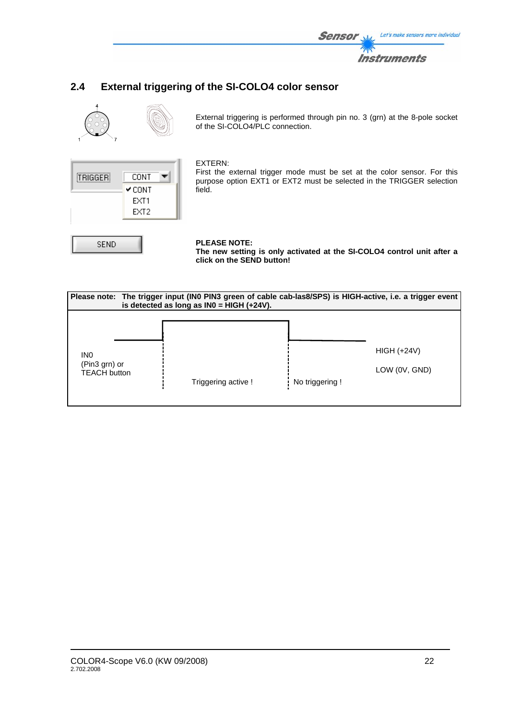

# **2.4 External triggering of the SI-COLO4 color sensor**



External triggering is performed through pin no. 3 (grn) at the 8-pole socket of the SI-COLO4/PLC connection.



SEND

#### EXTERN:

First the external trigger mode must be set at the color sensor. For this purpose option EXT1 or EXT2 must be selected in the TRIGGER selection field.

### **PLEASE NOTE:**

**The new setting is only activated at the SI-COLO4 control unit after a click on the SEND button!** 

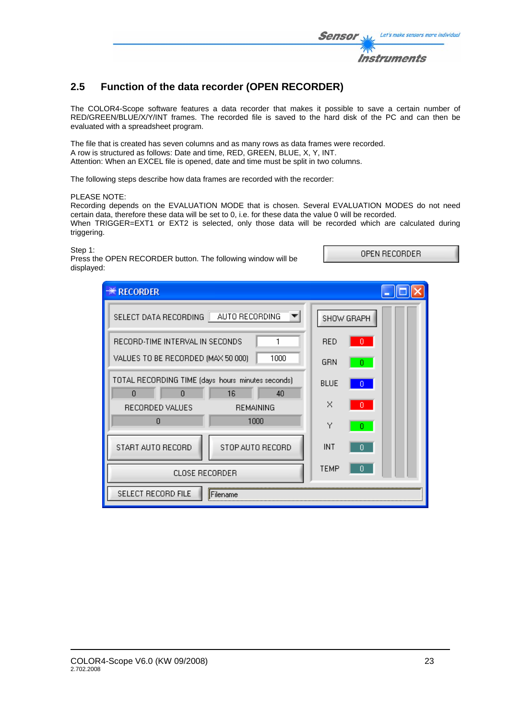

# **2.5 Function of the data recorder (OPEN RECORDER)**

The COLOR4-Scope software features a data recorder that makes it possible to save a certain number of RED/GREEN/BLUE/X/Y/INT frames. The recorded file is saved to the hard disk of the PC and can then be evaluated with a spreadsheet program.

The file that is created has seven columns and as many rows as data frames were recorded. A row is structured as follows: Date and time, RED, GREEN, BLUE, X, Y, INT. Attention: When an EXCEL file is opened, date and time must be split in two columns.

The following steps describe how data frames are recorded with the recorder:

PLEASE NOTE:

Recording depends on the EVALUATION MODE that is chosen. Several EVALUATION MODES do not need certain data, therefore these data will be set to 0, i.e. for these data the value 0 will be recorded. When TRIGGER=EXT1 or EXT2 is selected, only those data will be recorded which are calculated during triggering.

#### Step 1:

Press the OPEN RECORDER button. The following window will be displayed:

| <b><i><b>W</b></i></b> RECORDER                             |                  |             |   |
|-------------------------------------------------------------|------------------|-------------|---|
| AUTO RECORDING<br>SELECT DATA RECORDING                     |                  | SHOW GRAPH  |   |
| RECORD-TIME INTERVAL IN SECONDS                             |                  | <b>RED</b>  |   |
| VALUES TO BE RECORDED (MAX 50 000)                          | 1000             | GRN         |   |
| TOTAL RECORDING TIME (days hours minutes seconds)<br>n<br>0 | 16<br>40         | <b>BLUE</b> | n |
| RECORDED VALUES                                             | <b>REMAINING</b> | $\times$    |   |
| 0                                                           | 1000             | Υ           |   |
| START AUTO RECORD<br>STOP AUTO RECORD                       |                  | <b>INT</b>  |   |
| <b>CLOSE RECORDER</b>                                       | <b>TEMP</b>      |             |   |
| SELECT RECORD FILE                                          | Filename         |             |   |

OPEN RECORDER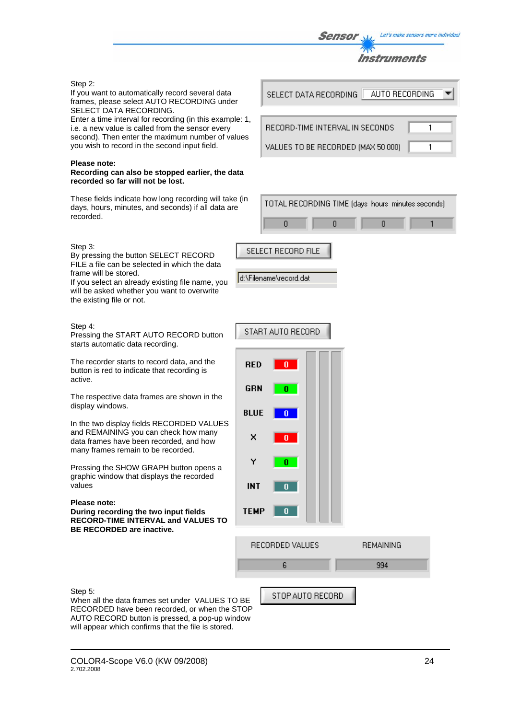Let's make sensors more individual Sensor

Instruments

 $\overline{1}$ 

1

#### Step 2:

#### If you want to automatically record several data frames, please select AUTO RECORDING under SELECT DATA RECORDING.

Enter a time interval for recording (in this example: 1, i.e. a new value is called from the sensor every second). Then enter the maximum number of values you wish to record in the second input field.

#### **Please note:**

#### **Recording can also be stopped earlier, the data recorded so far will not be lost.**

These fields indicate how long recording will take (in days, hours, minutes, and seconds) if all data are recorded.

#### Step 3:

By pressing the button SELECT RECORD FILE a file can be selected in which the data frame will be stored.

If you select an already existing file name, you will be asked whether you want to overwrite the existing file or not.

#### Step 4:

Pressing the START AUTO RECORD button starts automatic data recording.

The recorder starts to record data, and the button is red to indicate that recording is active.

The respective data frames are shown in the display windows.

In the two display fields RECORDED VALUES and REMAINING you can check how many data frames have been recorded, and how many frames remain to be recorded.

Pressing the SHOW GRAPH button opens a graphic window that displays the recorded values

#### **Please note:**

**During recording the two input fields RECORD-TIME INTERVAL and VALUES TO BE RECORDED are inactive.**

SELECT DATA RECORDING AUTO RECORDING

RECORD-TIME INTERVAL IN SECONDS

VALUES TO BE RECORDED (MAX 50 000)

|  | TOTAL RECORDING TIME (days hours minutes seconds) |  |
|--|---------------------------------------------------|--|
|  |                                                   |  |



| d:\Filename\record.dat |  |
|------------------------|--|
|------------------------|--|

|             | START AUTO RECORD |           |
|-------------|-------------------|-----------|
| <b>RED</b>  | O                 |           |
| <b>GRN</b>  | o                 |           |
| <b>BLUE</b> | Ō                 |           |
| ×           | o                 |           |
| Y           | 0                 |           |
| <b>INT</b>  | O                 |           |
| <b>TEMP</b> | O                 |           |
|             | RECORDED VALUES   | REMAINING |

Step 5: When all the data frames set under VALUES TO BE RECORDED have been recorded, or when the STOP AUTO RECORD button is pressed, a pop-up window will appear which confirms that the file is stored.

STOP AUTO RECORD

6

994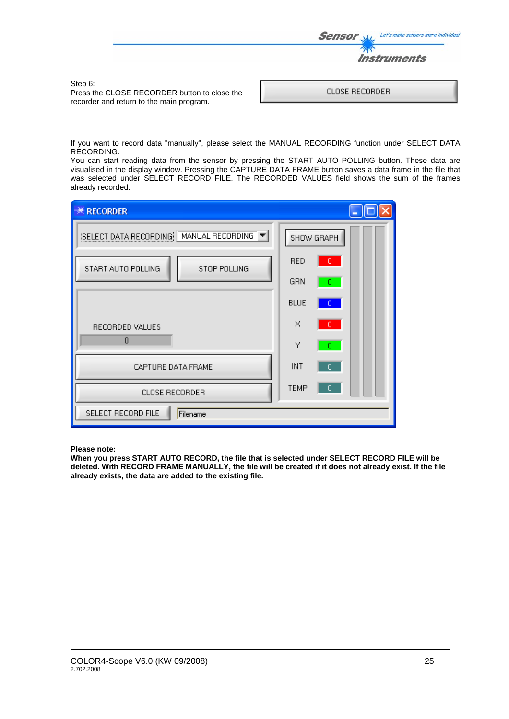

Press the CLOSE RECORDER button to close the recorder and return to the main program.

Step 6:

If you want to record data "manually", please select the MANUAL RECORDING function under SELECT DATA RECORDING.

You can start reading data from the sensor by pressing the START AUTO POLLING button. These data are visualised in the display window. Pressing the CAPTURE DATA FRAME button saves a data frame in the file that was selected under SELECT RECORD FILE. The RECORDED VALUES field shows the sum of the frames already recorded.

| <b><i><b>W</b></i></b> RECORDER           |                     |
|-------------------------------------------|---------------------|
| SELECT DATA RECORDING<br>MANUAL RECORDING | SHOW GRAPH          |
| START AUTO POLLING<br>STOP POLLING        | <b>RED</b><br>$0 -$ |
|                                           | GRN<br>0.           |
|                                           | <b>BLUE</b><br>0    |
| RECORDED VALUES                           | ×<br>0.             |
| $\mathbf{0}$                              | Υ<br>0.             |
| CAPTURE DATA FRAME                        | INT<br>$\mathbf{0}$ |
| CLOSE RECORDER                            | <b>TEMP</b><br>0    |
| SELECT RECORD FILE<br>Filename            |                     |

**Please note:** 

**When you press START AUTO RECORD, the file that is selected under SELECT RECORD FILE will be deleted. With RECORD FRAME MANUALLY, the file will be created if it does not already exist. If the file already exists, the data are added to the existing file.**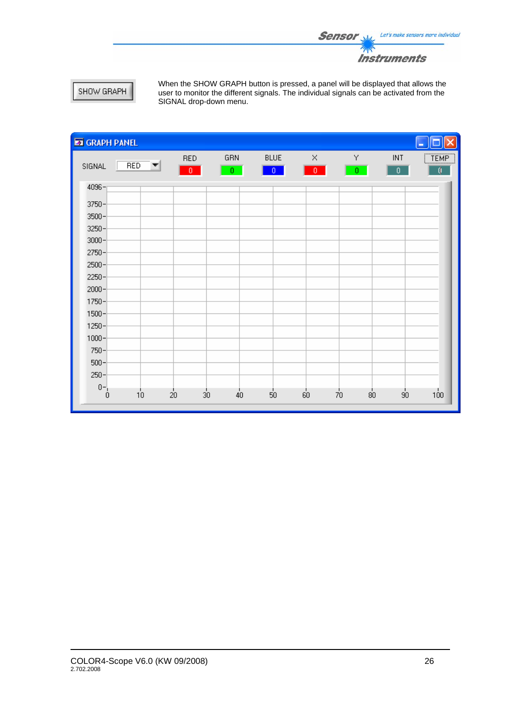

# SHOW GRAPH

When the SHOW GRAPH button is pressed, a panel will be displayed that allows the user to monitor the different signals. The individual signals can be activated from the SIGNAL drop-down menu.

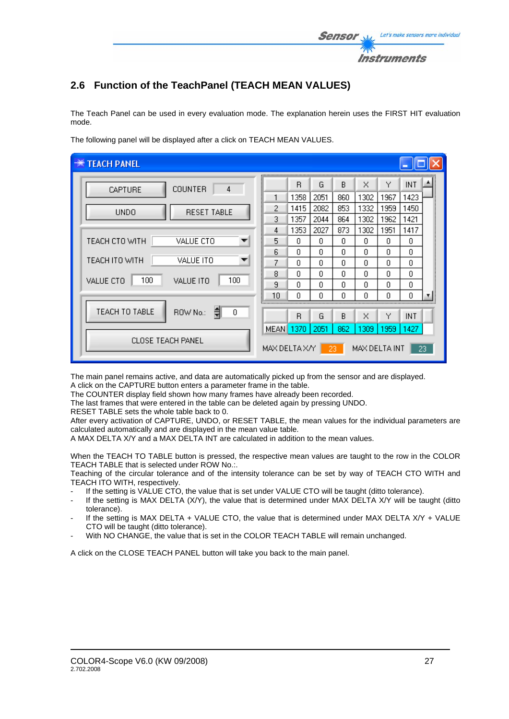

# **2.6 Function of the TeachPanel (TEACH MEAN VALUES)**

The Teach Panel can be used in every evaluation mode. The explanation herein uses the FIRST HIT evaluation mode.

| <b>TEACH PANEL</b>                   |                |      |      |     |               |      |            |    |
|--------------------------------------|----------------|------|------|-----|---------------|------|------------|----|
| <b>COUNTER</b><br>4<br>CAPTURE       |                | R    | G    | B.  | ×             | Y    | INT        |    |
|                                      |                | 1358 | 2051 | 860 | 1302          | 1967 | 1423       |    |
| <b>RESET TABLE</b><br><b>UNDO</b>    | 2              | 1415 | 2082 | 853 | 1332          | 1959 | 1450       |    |
|                                      | 3              | 1357 | 2044 | 864 | 1302          | 1962 | 1421       |    |
|                                      | 4              | 1353 | 2027 | 873 | 1302          | 1951 | 1417       |    |
| VALUE CTO<br>TEACH CTO WITH          | 5              | n    | n    | 0.  | f)            | n.   | n.         |    |
|                                      | 6              | n    | n    | n   | n             | n    | n          |    |
| TEACH ITO WITH<br>VALUE ITO          | 7              | n    | n    | n   | n             | n    | 0          |    |
|                                      | 8              | n    | n    | n   | n             | n    | n          |    |
| 100<br>100<br>VALUE CTO<br>VALUE ITO | 9              | n    | 0    | n   | n             | n    | 0          |    |
|                                      | 10             | Ο    | 0    | Ο   | 0             | 0    | 0          |    |
| TEACH TO TABLE<br>ROW No.:<br>0      |                |      |      |     |               |      |            |    |
|                                      |                | R    | G    | R   | ×             | Υ    | <b>INT</b> |    |
|                                      | MEAN I         | 1370 | 2051 | 862 | 1309          | 1959 | 1427       |    |
| <b>CLOSE TEACH PANEL</b>             | MAX DELTA XAYI |      |      | 23. | MAX DELTA INT |      |            | 23 |

The following panel will be displayed after a click on TEACH MEAN VALUES.

The main panel remains active, and data are automatically picked up from the sensor and are displayed. A click on the CAPTURE button enters a parameter frame in the table.

The COUNTER display field shown how many frames have already been recorded.

The last frames that were entered in the table can be deleted again by pressing UNDO.

RESET TABLE sets the whole table back to 0.

After every activation of CAPTURE, UNDO, or RESET TABLE, the mean values for the individual parameters are calculated automatically and are displayed in the mean value table.

A MAX DELTA X/Y and a MAX DELTA INT are calculated in addition to the mean values.

When the TEACH TO TABLE button is pressed, the respective mean values are taught to the row in the COLOR TEACH TABLE that is selected under ROW No.:.

Teaching of the circular tolerance and of the intensity tolerance can be set by way of TEACH CTO WITH and TEACH ITO WITH, respectively.

- If the setting is VALUE CTO, the value that is set under VALUE CTO will be taught (ditto tolerance).
- If the setting is MAX DELTA (X/Y), the value that is determined under MAX DELTA X/Y will be taught (ditto tolerance).
- If the setting is MAX DELTA + VALUE CTO, the value that is determined under MAX DELTA  $X/Y$  + VALUE CTO will be taught (ditto tolerance).
- With NO CHANGE, the value that is set in the COLOR TEACH TABLE will remain unchanged.

A click on the CLOSE TEACH PANEL button will take you back to the main panel.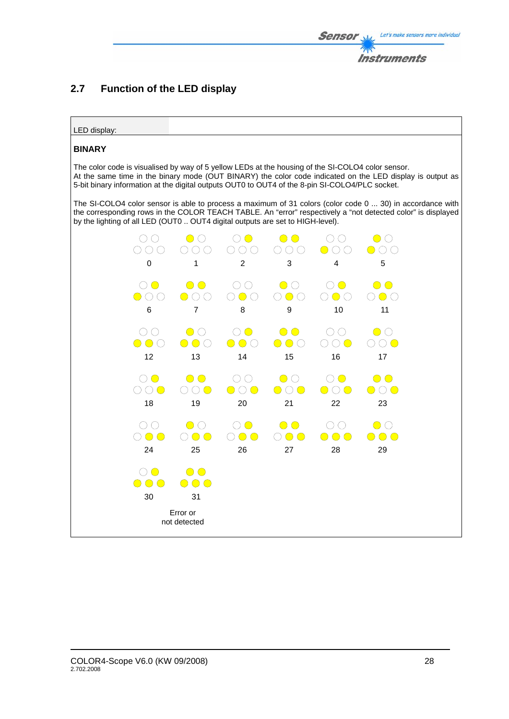

# **2.7 Function of the LED display**



### **BINARY**

The color code is visualised by way of 5 yellow LEDs at the housing of the SI-COLO4 color sensor. At the same time in the binary mode (OUT BINARY) the color code indicated on the LED display is output as 5-bit binary information at the digital outputs OUT0 to OUT4 of the 8-pin SI-COLO4/PLC socket.

The SI-COLO4 color sensor is able to process a maximum of 31 colors (color code 0 ... 30) in accordance with the corresponding rows in the COLOR TEACH TABLE. An "error" respectively a "not detected color" is displayed by the lighting of all LED (OUT0 .. OUT4 digital outputs are set to HIGH-level).

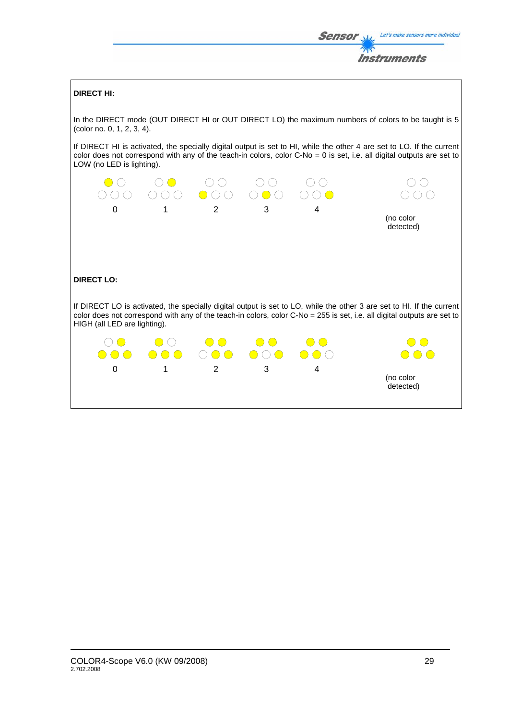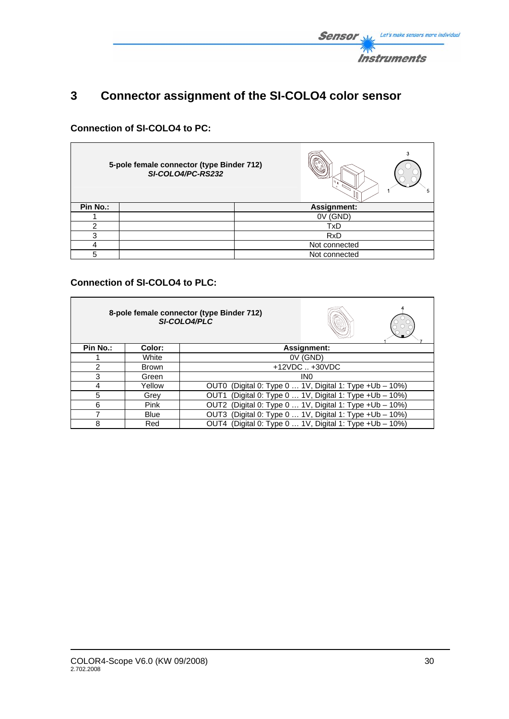

# **3 Connector assignment of the SI-COLO4 color sensor**

# **Connection of SI-COLO4 to PC:**

|          | 5-pole female connector (type Binder 712)<br>SI-COLO4/PC-RS232 |               | ٠h |
|----------|----------------------------------------------------------------|---------------|----|
| Pin No.: |                                                                | Assignment:   |    |
|          |                                                                | (GND)<br>0٧   |    |
| ົ        |                                                                | TxD           |    |
| 3        |                                                                | <b>RxD</b>    |    |
|          |                                                                | Not connected |    |
|          |                                                                | Not connected |    |

# **Connection of SI-COLO4 to PLC:**

| 8-pole female connector (type Binder 712)<br>SI-COLO4/PLC |             |                                                             |                   |  |
|-----------------------------------------------------------|-------------|-------------------------------------------------------------|-------------------|--|
| Pin No.:                                                  | Color:      |                                                             | Assignment:       |  |
|                                                           | White       |                                                             | 0V (GND)          |  |
| $\mathcal{P}$                                             | Brown       |                                                             | $+12VDC$ $+30VDC$ |  |
| 3                                                         | Green       |                                                             | IN <sub>0</sub>   |  |
| 4                                                         | Yellow      | (Digital 0: Type 0  1V, Digital 1: Type + Ub - 10%)<br>OUT0 |                   |  |
| 5                                                         | Grev        | (Digital 0: Type 0  1V, Digital 1: Type +Ub - 10%)<br>OUT1  |                   |  |
| 6                                                         | <b>Pink</b> | OUT2 (Digital 0: Type 0  1V, Digital 1: Type +Ub - 10%)     |                   |  |
|                                                           | <b>Blue</b> | OUT3 (Digital 0: Type 0  1V, Digital 1: Type +Ub - 10%)     |                   |  |
| 8                                                         | Red         | OUT4 (Digital 0: Type 0  1V, Digital 1: Type +Ub - 10%)     |                   |  |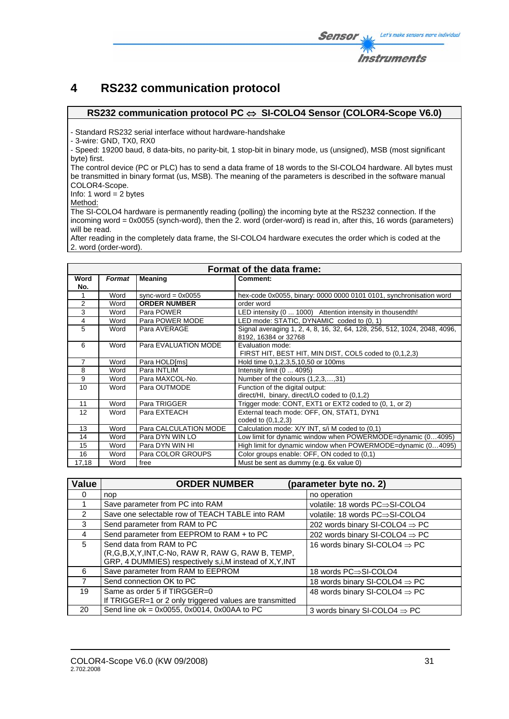# **4 RS232 communication protocol**

### **RS232 communication protocol PC** ⇔ **SI-COLO4 Sensor (COLOR4-Scope V6.0)**

- Standard RS232 serial interface without hardware-handshake

- 3-wire: GND, TX0, RX0

- Speed: 19200 baud, 8 data-bits, no parity-bit, 1 stop-bit in binary mode, us (unsigned), MSB (most significant byte) first.

The control device (PC or PLC) has to send a data frame of 18 words to the SI-COLO4 hardware. All bytes must be transmitted in binary format (us, MSB). The meaning of the parameters is described in the software manual COLOR4-Scope.

Info: 1 word  $= 2$  bytes

Method:

The SI-COLO4 hardware is permanently reading (polling) the incoming byte at the RS232 connection. If the incoming word = 0x0055 (synch-word), then the 2. word (order-word) is read in, after this, 16 words (parameters) will be read.

After reading in the completely data frame, the SI-COLO4 hardware executes the order which is coded at the 2. word (order-word).

| Format of the data frame: |        |                       |                                                                           |
|---------------------------|--------|-----------------------|---------------------------------------------------------------------------|
| Word                      | Format | <b>Meaning</b>        | Comment:                                                                  |
| No.                       |        |                       |                                                                           |
|                           | Word   | sync-word = $0x0055$  | hex-code 0x0055, binary: 0000 0000 0101 0101, synchronisation word        |
| $\overline{2}$            | Word   | <b>ORDER NUMBER</b>   | order word                                                                |
| 3                         | Word   | Para POWER            | LED intensity (0  1000) Attention intensity in thousendth!                |
| $\overline{4}$            | Word   | Para POWER MODE       | LED mode: STATIC, DYNAMIC coded to (0, 1)                                 |
| 5                         | Word   | Para AVERAGE          | Signal averaging 1, 2, 4, 8, 16, 32, 64, 128, 256, 512, 1024, 2048, 4096, |
|                           |        |                       | 8192, 16384 or 32768                                                      |
| 6                         | Word   | Para EVALUATION MODE  | Evaluation mode:                                                          |
|                           |        |                       | FIRST HIT, BEST HIT, MIN DIST, COL5 coded to (0,1,2,3)                    |
| 7                         | Word   | Para HOLD[ms]         | Hold time 0,1,2,3,5,10,50 or 100ms                                        |
| 8                         | Word   | Para INTLIM           | Intensity limit (0  4095)                                                 |
| 9                         | Word   | Para MAXCOL-No.       | Number of the colours $(1,2,3,,31)$                                       |
| 10                        | Word   | Para OUTMODE          | Function of the digital output:                                           |
|                           |        |                       | direct/HI, binary, direct/LO coded to (0,1,2)                             |
| 11                        | Word   | Para TRIGGER          | Trigger mode: CONT, EXT1 or EXT2 coded to (0, 1, or 2)                    |
| 12                        | Word   | Para EXTEACH          | External teach mode: OFF, ON, STAT1, DYN1                                 |
|                           |        |                       | coded to (0,1,2,3)                                                        |
| 13                        | Word   | Para CALCULATION MODE | Calculation mode: X/Y INT, s/i M coded to (0,1)                           |
| 14                        | Word   | Para DYN WIN LO       | Low limit for dynamic window when POWERMODE=dynamic (04095)               |
| 15                        | Word   | Para DYN WIN HI       | High limit for dynamic window when POWERMODE=dynamic (04095)              |
| 16                        | Word   | Para COLOR GROUPS     | Color groups enable: OFF, ON coded to (0,1)                               |
| 17,18                     | Word   | free                  | Must be sent as dummy (e.g. 6x value 0)                                   |

| <b>Value</b> | <b>ORDER NUMBER</b>                                                                                                                     | (parameter byte no. 2)                     |
|--------------|-----------------------------------------------------------------------------------------------------------------------------------------|--------------------------------------------|
| 0            | nop                                                                                                                                     | no operation                               |
|              | Save parameter from PC into RAM                                                                                                         | volatile: 18 words PC⇒SI-COLO4             |
| 2            | Save one selectable row of TEACH TABLE into RAM                                                                                         | volatile: 18 words PC⇒SI-COLO4             |
| 3            | Send parameter from RAM to PC                                                                                                           | 202 words binary SI-COLO4 $\Rightarrow$ PC |
| 4            | Send parameter from EEPROM to RAM + to PC                                                                                               | 202 words binary SI-COLO4 $\Rightarrow$ PC |
| 5            | Send data from RAM to PC<br>(R,G,B,X,Y,INT,C-No, RAW R, RAW G, RAW B, TEMP,<br>GRP, 4 DUMMIES) respectively s,i, M instead of X, Y, INT | 16 words binary SI-COLO4 $\Rightarrow$ PC  |
| 6            | Save parameter from RAM to EEPROM                                                                                                       | 18 words PC⇒SI-COLO4                       |
| 7            | Send connection OK to PC                                                                                                                | 18 words binary SI-COLO4 $\Rightarrow$ PC  |
| 19           | Same as order 5 if TIRGGER=0<br>If TRIGGER=1 or 2 only triggered values are transmitted                                                 | 48 words binary SI-COLO4 $\Rightarrow$ PC  |
| 20           | Send line ok = $0x0055$ , $0x0014$ , $0x00AA$ to PC                                                                                     | 3 words binary SI-COLO4 $\Rightarrow$ PC   |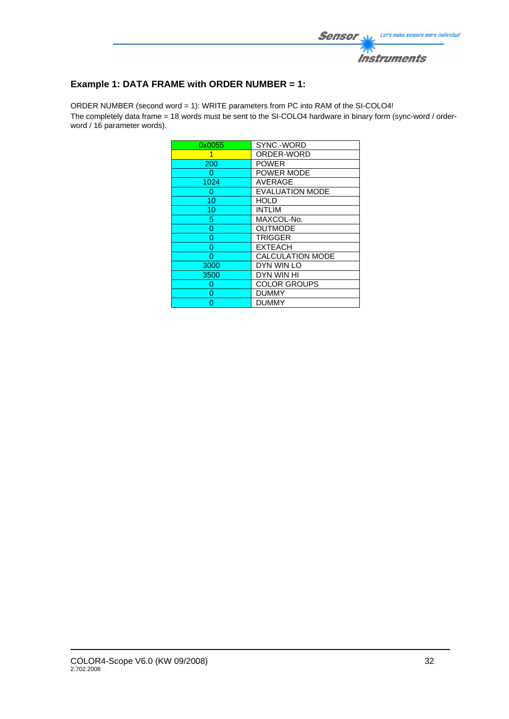

# **Example 1: DATA FRAME with ORDER NUMBER = 1:**

ORDER NUMBER (second word = 1): WRITE parameters from PC into RAM of the SI-COLO4! The completely data frame = 18 words must be sent to the SI-COLO4 hardware in binary form (sync-word / orderword / 16 parameter words).

| 0x0055 | SYNC.-WORD              |
|--------|-------------------------|
| 1      | ORDER-WORD              |
| 200    | <b>POWER</b>            |
| 0      | POWER MODE              |
| 1024   | <b>AVERAGE</b>          |
| 0      | <b>EVALUATION MODE</b>  |
| 10     | <b>HOLD</b>             |
| 10     | <b>INTLIM</b>           |
| 5      | MAXCOL-No.              |
| 0      | <b>OUTMODE</b>          |
| 0      | <b>TRIGGER</b>          |
| 0      | <b>EXTEACH</b>          |
| 0      | <b>CALCULATION MODE</b> |
| 3000   | DYN WIN LO              |
| 3500   | DYN WIN HI              |
| 0      | <b>COLOR GROUPS</b>     |
| 0      | <b>DUMMY</b>            |
| ი      | DUMMY                   |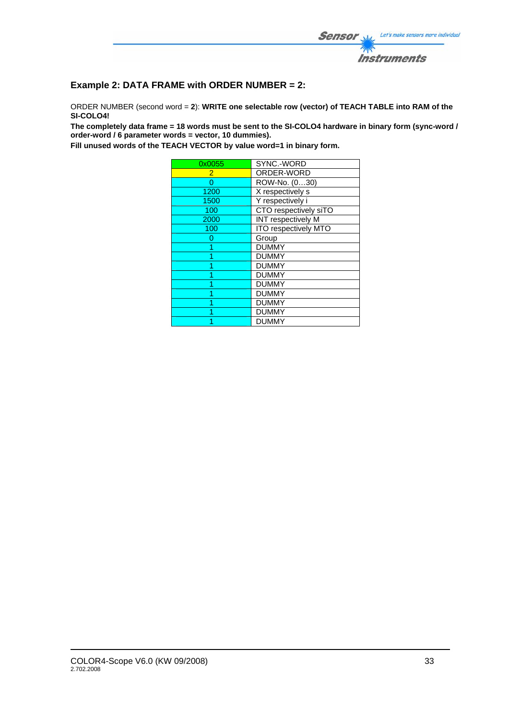

# **Example 2: DATA FRAME with ORDER NUMBER = 2:**

ORDER NUMBER (second word = **2**): **WRITE one selectable row (vector) of TEACH TABLE into RAM of the SI-COLO4!** 

**The completely data frame = 18 words must be sent to the SI-COLO4 hardware in binary form (sync-word / order-word / 6 parameter words = vector, 10 dummies).** 

**Fill unused words of the TEACH VECTOR by value word=1 in binary form.**

| 0x0055 | SYNC.-WORD            |
|--------|-----------------------|
| 2      | ORDER-WORD            |
| O      | ROW-No. (030)         |
| 1200   | X respectively s      |
| 1500   | Y respectively i      |
| 100    | CTO respectively siTO |
| 2000   | INT respectively M    |
| 100    | ITO respectively MTO  |
| Ω      | Group                 |
|        | <b>DUMMY</b>          |
|        | <b>DUMMY</b>          |
|        | <b>DUMMY</b>          |
|        | <b>DUMMY</b>          |
|        | <b>DUMMY</b>          |
|        | <b>DUMMY</b>          |
|        | <b>DUMMY</b>          |
|        | <b>DUMMY</b>          |
|        | <b>DUMMY</b>          |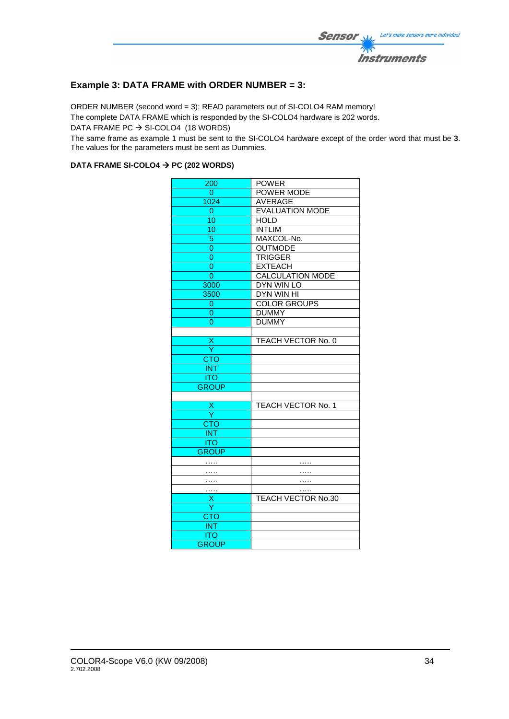

## **Example 3: DATA FRAME with ORDER NUMBER = 3:**

ORDER NUMBER (second word = 3): READ parameters out of SI-COLO4 RAM memory! The complete DATA FRAME which is responded by the SI-COLO4 hardware is 202 words. DATA FRAME PC  $\rightarrow$  SI-COLO4 (18 WORDS)

The same frame as example 1 must be sent to the SI-COLO4 hardware except of the order word that must be **3**. The values for the parameters must be sent as Dummies.

#### DATA FRAME SI-COLO4  $\rightarrow$  PC (202 WORDS)

| 200            | <b>POWER</b>              |
|----------------|---------------------------|
| 0              | <b>POWER MODE</b>         |
| 1024           | AVERAGE                   |
| 0              | <b>EVALUATION MODE</b>    |
| 10             | <b>HOLD</b>               |
| 10             | <b>INTLIM</b>             |
| 5              | MAXCOL-No.                |
| 0              | <b>OUTMODE</b>            |
| $\overline{0}$ | <b>TRIGGER</b>            |
| $\overline{0}$ | <b>EXTEACH</b>            |
| 0              | <b>CALCULATION MODE</b>   |
| 3000           | <b>DYN WIN LO</b>         |
| 3500           | DYN WIN HI                |
| 0              | <b>COLOR GROUPS</b>       |
| 0              | <b>DUMMY</b>              |
|                | <b>DUMMY</b>              |
|                |                           |
| X              | TEACH VECTOR No. 0        |
| Ÿ              |                           |
| <b>CTO</b>     |                           |
| <b>INT</b>     |                           |
| <b>ITO</b>     |                           |
| <b>GROUP</b>   |                           |
|                |                           |
| Χ              | <b>TEACH VECTOR No. 1</b> |
| Y              |                           |
| <b>CTO</b>     |                           |
| <b>INT</b>     |                           |
| <b>ITO</b>     |                           |
| <b>GROUP</b>   |                           |
|                |                           |
| .              | .                         |
| .              | .                         |
| .              |                           |
| х<br>Ÿ         | TEACH VECTOR No.30        |
|                |                           |
| <b>CTO</b>     |                           |
| <b>INT</b>     |                           |
| <b>ITO</b>     |                           |
| <b>GROUP</b>   |                           |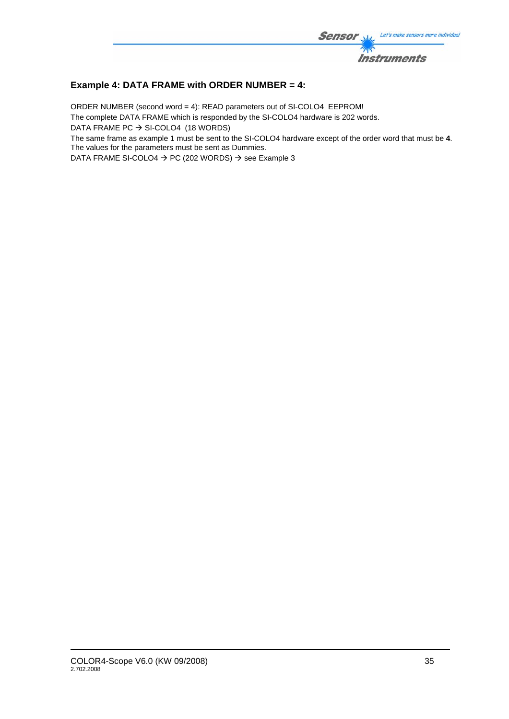

## **Example 4: DATA FRAME with ORDER NUMBER = 4:**

ORDER NUMBER (second word = 4): READ parameters out of SI-COLO4 EEPROM! The complete DATA FRAME which is responded by the SI-COLO4 hardware is 202 words. DATA FRAME PC  $\rightarrow$  SI-COLO4 (18 WORDS) The same frame as example 1 must be sent to the SI-COLO4 hardware except of the order word that must be **4**.

The values for the parameters must be sent as Dummies.

DATA FRAME SI-COLO4  $\rightarrow$  PC (202 WORDS)  $\rightarrow$  see Example 3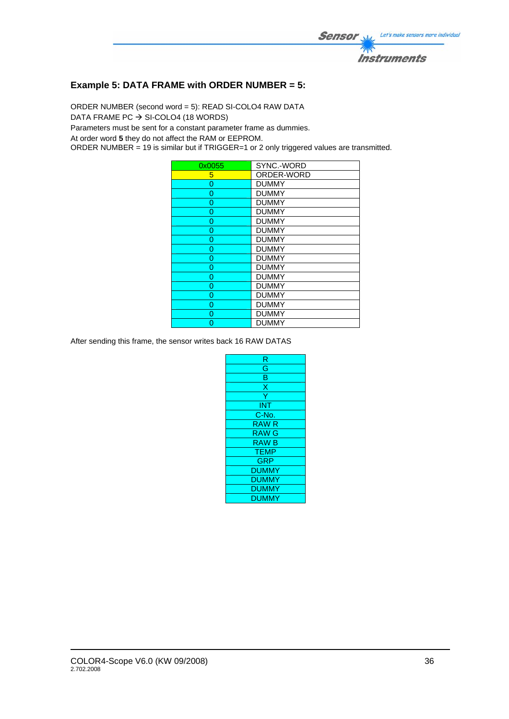

## **Example 5: DATA FRAME with ORDER NUMBER = 5:**

ORDER NUMBER (second word = 5): READ SI-COLO4 RAW DATA

DATA FRAME PC  $\rightarrow$  SI-COLO4 (18 WORDS)

Parameters must be sent for a constant parameter frame as dummies.

At order word **5** they do not affect the RAM or EEPROM.

ORDER NUMBER = 19 is similar but if TRIGGER=1 or 2 only triggered values are transmitted.

| 0x0055 | SYNC.-WORD   |
|--------|--------------|
| 5      | ORDER-WORD   |
| 0      | <b>DUMMY</b> |
| 0      | <b>DUMMY</b> |
| 0      | <b>DUMMY</b> |
| 0      | <b>DUMMY</b> |
| 0      | <b>DUMMY</b> |
| O      | <b>DUMMY</b> |
| 0      | <b>DUMMY</b> |
| 0      | <b>DUMMY</b> |
| 0      | <b>DUMMY</b> |
| 0      | <b>DUMMY</b> |
| 0      | <b>DUMMY</b> |
| 0      | <b>DUMMY</b> |
| 0      | <b>DUMMY</b> |
| 0      | <b>DUMMY</b> |
| O      | <b>DUMMY</b> |
|        | <b>DUMMY</b> |

After sending this frame, the sensor writes back 16 RAW DATAS

| R            |
|--------------|
| Ġ            |
| B            |
| X            |
| Ÿ            |
| <b>INT</b>   |
| C-No.        |
| <b>RAWR</b>  |
| <b>RAW G</b> |
| <b>RAWB</b>  |
| <b>TEMP</b>  |
| <b>GRP</b>   |
| <b>DUMMY</b> |
| <b>DUMMY</b> |
| <b>DUMMY</b> |
| <b>DUMMY</b> |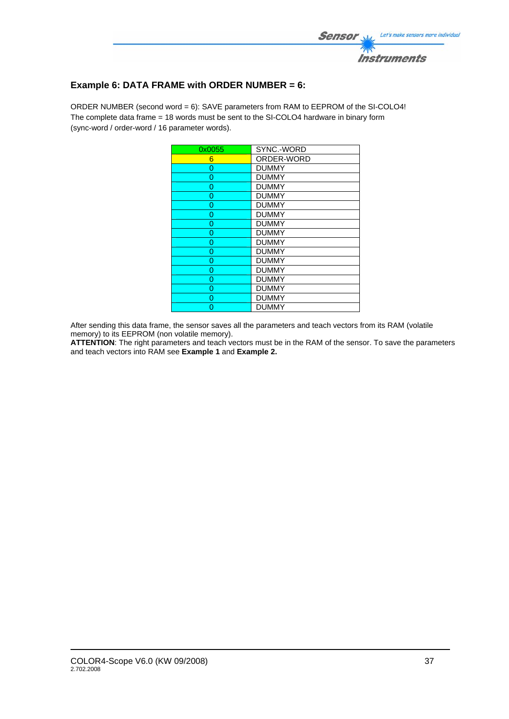

# **Example 6: DATA FRAME with ORDER NUMBER = 6:**

ORDER NUMBER (second word = 6): SAVE parameters from RAM to EEPROM of the SI-COLO4! The complete data frame = 18 words must be sent to the SI-COLO4 hardware in binary form (sync-word / order-word / 16 parameter words).

| 0x0055 | SYNC.-WORD   |
|--------|--------------|
| 6      | ORDER-WORD   |
| 0      | <b>DUMMY</b> |
| 0      | <b>DUMMY</b> |
| 0      | <b>DUMMY</b> |
| 0      | <b>DUMMY</b> |
| 0      | <b>DUMMY</b> |
| 0      | <b>DUMMY</b> |
| 0      | <b>DUMMY</b> |
| 0      | <b>DUMMY</b> |
| 0      | <b>DUMMY</b> |
| 0      | <b>DUMMY</b> |
| 0      | <b>DUMMY</b> |
| 0      | <b>DUMMY</b> |
| 0      | <b>DUMMY</b> |
| 0      | <b>DUMMY</b> |
| 0      | <b>DUMMY</b> |
| O      | <b>DUMMY</b> |

After sending this data frame, the sensor saves all the parameters and teach vectors from its RAM (volatile memory) to its EEPROM (non volatile memory).

**ATTENTION**: The right parameters and teach vectors must be in the RAM of the sensor. To save the parameters and teach vectors into RAM see **Example 1** and **Example 2.**